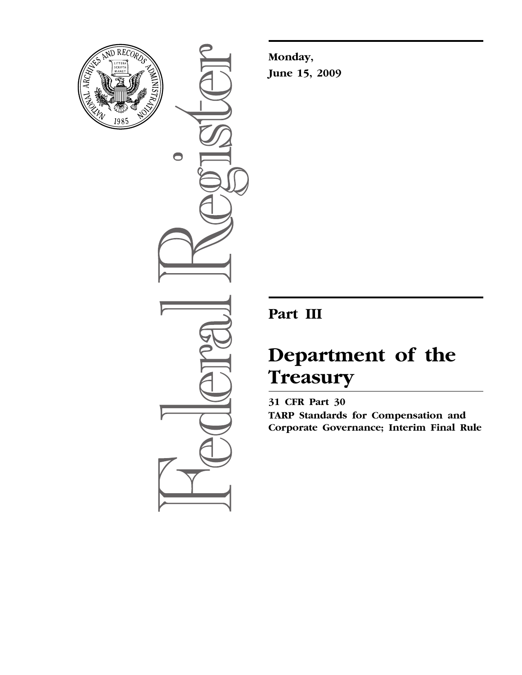

 $\bullet$ 

**Monday, June 15, 2009** 

# **Part III**

# **Department of the Treasury**

**31 CFR Part 30 TARP Standards for Compensation and Corporate Governance; Interim Final Rule**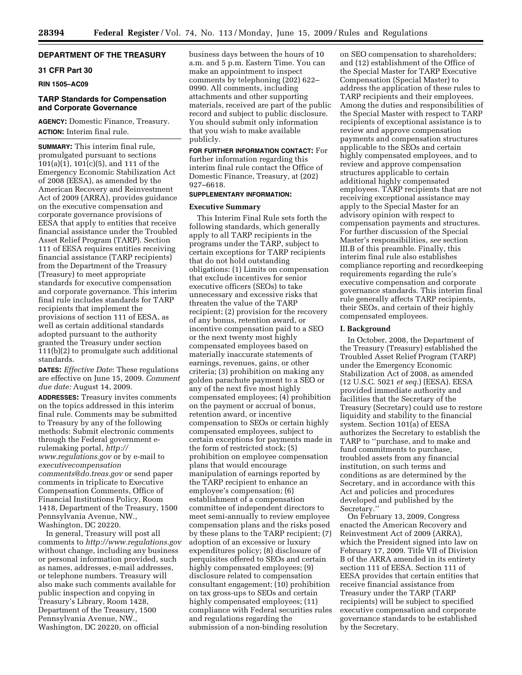# **DEPARTMENT OF THE TREASURY**

# **31 CFR Part 30**

**RIN 1505–AC09** 

# **TARP Standards for Compensation and Corporate Governance**

**AGENCY:** Domestic Finance, Treasury. **ACTION:** Interim final rule.

**SUMMARY:** This interim final rule, promulgated pursuant to sections 101(a)(1), 101(c)(5), and 111 of the Emergency Economic Stabilization Act of 2008 (EESA), as amended by the American Recovery and Reinvestment Act of 2009 (ARRA), provides guidance on the executive compensation and corporate governance provisions of EESA that apply to entities that receive financial assistance under the Troubled Asset Relief Program (TARP). Section 111 of EESA requires entities receiving financial assistance (TARP recipients) from the Department of the Treasury (Treasury) to meet appropriate standards for executive compensation and corporate governance. This interim final rule includes standards for TARP recipients that implement the provisions of section 111 of EESA, as well as certain additional standards adopted pursuant to the authority granted the Treasury under section 111(b)(2) to promulgate such additional standards.

**DATES:** *Effective Date*: These regulations are effective on June 15, 2009. *Comment due date:* August 14, 2009.

**ADDRESSES:** Treasury invites comments on the topics addressed in this interim final rule. Comments may be submitted to Treasury by any of the following methods: Submit electronic comments through the Federal government erulemaking portal, *http:// [www.regulations.gov](http://www.regulations.gov)* or by e-mail to *executivecompensation [comments@do.treas.gov](mailto:comments@do.treas.gov)* or send paper comments in triplicate to Executive Compensation Comments, Office of Financial Institutions Policy, Room 1418, Department of the Treasury, 1500 Pennsylvania Avenue, NW., Washington, DC 20220.

In general, Treasury will post all comments to *<http://www.regulations.gov>* without change, including any business or personal information provided, such as names, addresses, e-mail addresses, or telephone numbers. Treasury will also make such comments available for public inspection and copying in Treasury's Library, Room 1428, Department of the Treasury, 1500 Pennsylvania Avenue, NW., Washington, DC 20220, on official

business days between the hours of 10 a.m. and 5 p.m. Eastern Time. You can make an appointment to inspect comments by telephoning (202) 622– 0990. All comments, including attachments and other supporting materials, received are part of the public record and subject to public disclosure. You should submit only information that you wish to make available publicly.

**FOR FURTHER INFORMATION CONTACT:** For further information regarding this interim final rule contact the Office of Domestic Finance, Treasury, at (202) 927–6618.

# **SUPPLEMENTARY INFORMATION:**

## **Executive Summary**

This Interim Final Rule sets forth the following standards, which generally apply to all TARP recipients in the programs under the TARP, subject to certain exceptions for TARP recipients that do not hold outstanding obligations: (1) Limits on compensation that exclude incentives for senior executive officers (SEOs) to take unnecessary and excessive risks that threaten the value of the TARP recipient; (2) provision for the recovery of any bonus, retention award, or incentive compensation paid to a SEO or the next twenty most highly compensated employees based on materially inaccurate statements of earnings, revenues, gains, or other criteria; (3) prohibition on making any golden parachute payment to a SEO or any of the next five most highly compensated employees; (4) prohibition on the payment or accrual of bonus, retention award, or incentive compensation to SEOs or certain highly compensated employees, subject to certain exceptions for payments made in the form of restricted stock; (5) prohibition on employee compensation plans that would encourage manipulation of earnings reported by the TARP recipient to enhance an employee's compensation; (6) establishment of a compensation committee of independent directors to meet semi-annually to review employee compensation plans and the risks posed by these plans to the TARP recipient; (7) adoption of an excessive or luxury expenditures policy; (8) disclosure of perquisites offered to SEOs and certain highly compensated employees; (9) disclosure related to compensation consultant engagement; (10) prohibition on tax gross-ups to SEOs and certain highly compensated employees; (11) compliance with Federal securities rules and regulations regarding the submission of a non-binding resolution

on SEO compensation to shareholders; and (12) establishment of the Office of the Special Master for TARP Executive Compensation (Special Master) to address the application of these rules to TARP recipients and their employees. Among the duties and responsibilities of the Special Master with respect to TARP recipients of exceptional assistance is to review and approve compensation payments and compensation structures applicable to the SEOs and certain highly compensated employees, and to review and approve compensation structures applicable to certain additional highly compensated employees. TARP recipients that are not receiving exceptional assistance may apply to the Special Master for an advisory opinion with respect to compensation payments and structures. For further discussion of the Special Master's responsibilities, *see* section III.B of this preamble. Finally, this interim final rule also establishes compliance reporting and recordkeeping requirements regarding the rule's executive compensation and corporate governance standards. This interim final rule generally affects TARP recipients, their SEOs, and certain of their highly compensated employees.

#### **I. Background**

In October, 2008, the Department of the Treasury (Treasury) established the Troubled Asset Relief Program (TARP) under the Emergency Economic Stabilization Act of 2008, as amended (12 U.S.C. 5021 *et seq.*) (EESA). EESA provided immediate authority and facilities that the Secretary of the Treasury (Secretary) could use to restore liquidity and stability to the financial system. Section 101(a) of EESA authorizes the Secretary to establish the TARP to ''purchase, and to make and fund commitments to purchase, troubled assets from any financial institution, on such terms and conditions as are determined by the Secretary, and in accordance with this Act and policies and procedures developed and published by the Secretary.''

On February 13, 2009, Congress enacted the American Recovery and Reinvestment Act of 2009 (ARRA), which the President signed into law on February 17, 2009. Title VII of Division B of the ARRA amended in its entirety section 111 of EESA. Section 111 of EESA provides that certain entities that receive financial assistance from Treasury under the TARP (TARP recipients) will be subject to specified executive compensation and corporate governance standards to be established by the Secretary.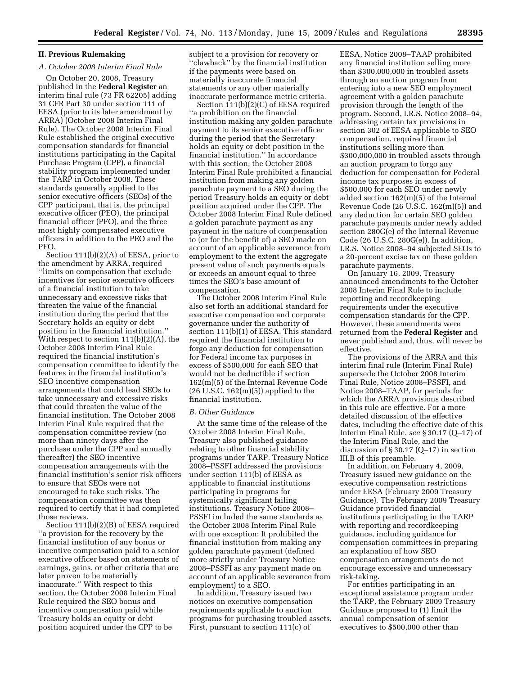# **II. Previous Rulemaking**

# *A. October 2008 Interim Final Rule*

On October 20, 2008, Treasury published in the **Federal Register** an interim final rule (73 FR 62205) adding 31 CFR Part 30 under section 111 of EESA (prior to its later amendment by ARRA) (October 2008 Interim Final Rule). The October 2008 Interim Final Rule established the original executive compensation standards for financial institutions participating in the Capital Purchase Program (CPP), a financial stability program implemented under the TARP in October 2008. These standards generally applied to the senior executive officers (SEOs) of the CPP participant, that is, the principal executive officer (PEO), the principal financial officer (PFO), and the three most highly compensated executive officers in addition to the PEO and the PFO.

Section 111(b)(2)(A) of EESA, prior to the amendment by ARRA, required ''limits on compensation that exclude incentives for senior executive officers of a financial institution to take unnecessary and excessive risks that threaten the value of the financial institution during the period that the Secretary holds an equity or debt position in the financial institution.'' With respect to section 111(b)(2)(A), the October 2008 Interim Final Rule required the financial institution's compensation committee to identify the features in the financial institution's SEO incentive compensation arrangements that could lead SEOs to take unnecessary and excessive risks that could threaten the value of the financial institution. The October 2008 Interim Final Rule required that the compensation committee review (no more than ninety days after the purchase under the CPP and annually thereafter) the SEO incentive compensation arrangements with the financial institution's senior risk officers to ensure that SEOs were not encouraged to take such risks. The compensation committee was then required to certify that it had completed those reviews.

Section 111(b)(2)(B) of EESA required ''a provision for the recovery by the financial institution of any bonus or incentive compensation paid to a senior executive officer based on statements of earnings, gains, or other criteria that are later proven to be materially inaccurate.'' With respect to this section, the October 2008 Interim Final Rule required the SEO bonus and incentive compensation paid while Treasury holds an equity or debt position acquired under the CPP to be

subject to a provision for recovery or ''clawback'' by the financial institution if the payments were based on materially inaccurate financial statements or any other materially inaccurate performance metric criteria.

Section 111(b)(2)(C) of EESA required ''a prohibition on the financial institution making any golden parachute payment to its senior executive officer during the period that the Secretary holds an equity or debt position in the financial institution.'' In accordance with this section, the October 2008 Interim Final Rule prohibited a financial institution from making any golden parachute payment to a SEO during the period Treasury holds an equity or debt position acquired under the CPP. The October 2008 Interim Final Rule defined a golden parachute payment as any payment in the nature of compensation to (or for the benefit of) a SEO made on account of an applicable severance from employment to the extent the aggregate present value of such payments equals or exceeds an amount equal to three times the SEO's base amount of compensation.

The October 2008 Interim Final Rule also set forth an additional standard for executive compensation and corporate governance under the authority of section 111(b)(1) of EESA. This standard required the financial institution to forgo any deduction for compensation for Federal income tax purposes in excess of \$500,000 for each SEO that would not be deductible if section 162(m)(5) of the Internal Revenue Code  $(26 \text{ U.S.C. } 162(m)(5))$  applied to the financial institution.

#### *B. Other Guidance*

At the same time of the release of the October 2008 Interim Final Rule, Treasury also published guidance relating to other financial stability programs under TARP. Treasury Notice 2008–PSSFI addressed the provisions under section 111(b) of EESA as applicable to financial institutions participating in programs for systemically significant failing institutions. Treasury Notice 2008– PSSFI included the same standards as the October 2008 Interim Final Rule with one exception: It prohibited the financial institution from making any golden parachute payment (defined more strictly under Treasury Notice 2008–PSSFI as any payment made on account of an applicable severance from employment) to a SEO.

In addition, Treasury issued two notices on executive compensation requirements applicable to auction programs for purchasing troubled assets. First, pursuant to section 111(c) of

EESA, Notice 2008–TAAP prohibited any financial institution selling more than \$300,000,000 in troubled assets through an auction program from entering into a new SEO employment agreement with a golden parachute provision through the length of the program. Second, I.R.S. Notice 2008–94, addressing certain tax provisions in section 302 of EESA applicable to SEO compensation, required financial institutions selling more than \$300,000,000 in troubled assets through an auction program to forgo any deduction for compensation for Federal income tax purposes in excess of \$500,000 for each SEO under newly added section 162(m)(5) of the Internal Revenue Code (26 U.S.C. 162(m)(5)) and any deduction for certain SEO golden parachute payments under newly added section 280G(e) of the Internal Revenue Code (26 U.S.C. 280G(e)). In addition, I.R.S. Notice 2008–94 subjected SEOs to a 20-percent excise tax on these golden parachute payments.

On January 16, 2009, Treasury announced amendments to the October 2008 Interim Final Rule to include reporting and recordkeeping requirements under the executive compensation standards for the CPP. However, these amendments were returned from the **Federal Register** and never published and, thus, will never be effective.

The provisions of the ARRA and this interim final rule (Interim Final Rule) supersede the October 2008 Interim Final Rule, Notice 2008–PSSFI, and Notice 2008–TAAP, for periods for which the ARRA provisions described in this rule are effective. For a more detailed discussion of the effective dates, including the effective date of this Interim Final Rule, *see* § 30.17 (Q–17) of the Interim Final Rule, and the discussion of § 30.17 (Q–17) in section III.B of this preamble.

In addition, on February 4, 2009, Treasury issued new guidance on the executive compensation restrictions under EESA (February 2009 Treasury Guidance). The February 2009 Treasury Guidance provided financial institutions participating in the TARP with reporting and recordkeeping guidance, including guidance for compensation committees in preparing an explanation of how SEO compensation arrangements do not encourage excessive and unnecessary risk-taking.

For entities participating in an exceptional assistance program under the TARP, the February 2009 Treasury Guidance proposed to (1) limit the annual compensation of senior executives to \$500,000 other than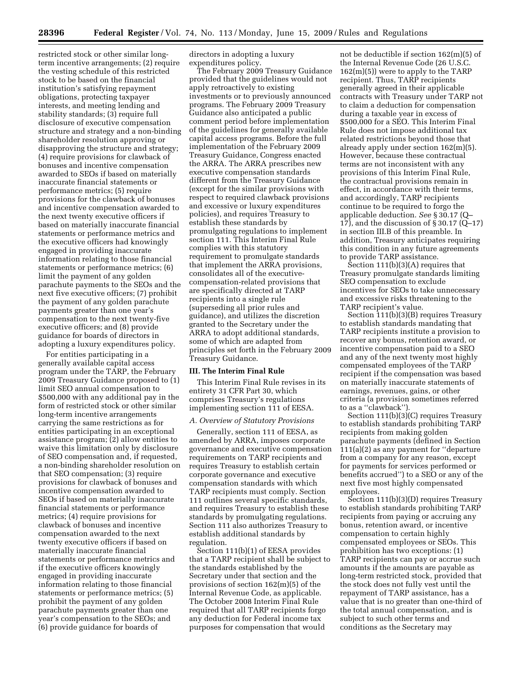restricted stock or other similar longterm incentive arrangements; (2) require the vesting schedule of this restricted stock to be based on the financial institution's satisfying repayment obligations, protecting taxpayer interests, and meeting lending and stability standards; (3) require full disclosure of executive compensation structure and strategy and a non-binding shareholder resolution approving or disapproving the structure and strategy; (4) require provisions for clawback of bonuses and incentive compensation awarded to SEOs if based on materially inaccurate financial statements or performance metrics; (5) require provisions for the clawback of bonuses and incentive compensation awarded to the next twenty executive officers if based on materially inaccurate financial statements or performance metrics and the executive officers had knowingly engaged in providing inaccurate information relating to those financial statements or performance metrics; (6) limit the payment of any golden parachute payments to the SEOs and the next five executive officers; (7) prohibit the payment of any golden parachute payments greater than one year's compensation to the next twenty-five executive officers; and (8) provide guidance for boards of directors in adopting a luxury expenditures policy.

For entities participating in a generally available capital access program under the TARP, the February 2009 Treasury Guidance proposed to (1) limit SEO annual compensation to \$500,000 with any additional pay in the form of restricted stock or other similar long-term incentive arrangements carrying the same restrictions as for entities participating in an exceptional assistance program; (2) allow entities to waive this limitation only by disclosure of SEO compensation and, if requested, a non-binding shareholder resolution on that SEO compensation; (3) require provisions for clawback of bonuses and incentive compensation awarded to SEOs if based on materially inaccurate financial statements or performance metrics; (4) require provisions for clawback of bonuses and incentive compensation awarded to the next twenty executive officers if based on materially inaccurate financial statements or performance metrics and if the executive officers knowingly engaged in providing inaccurate information relating to those financial statements or performance metrics; (5) prohibit the payment of any golden parachute payments greater than one year's compensation to the SEOs; and (6) provide guidance for boards of

directors in adopting a luxury expenditures policy.

The February 2009 Treasury Guidance provided that the guidelines would not apply retroactively to existing investments or to previously announced programs. The February 2009 Treasury Guidance also anticipated a public comment period before implementation of the guidelines for generally available capital access programs. Before the full implementation of the February 2009 Treasury Guidance, Congress enacted the ARRA. The ARRA prescribes new executive compensation standards different from the Treasury Guidance (except for the similar provisions with respect to required clawback provisions and excessive or luxury expenditures policies), and requires Treasury to establish these standards by promulgating regulations to implement section 111. This Interim Final Rule complies with this statutory requirement to promulgate standards that implement the ARRA provisions, consolidates all of the executivecompensation-related provisions that are specifically directed at TARP recipients into a single rule (superseding all prior rules and guidance), and utilizes the discretion granted to the Secretary under the ARRA to adopt additional standards, some of which are adapted from principles set forth in the February 2009 Treasury Guidance.

#### **III. The Interim Final Rule**

This Interim Final Rule revises in its entirety 31 CFR Part 30, which comprises Treasury's regulations implementing section 111 of EESA.

#### *A. Overview of Statutory Provisions*

Generally, section 111 of EESA, as amended by ARRA, imposes corporate governance and executive compensation requirements on TARP recipients and requires Treasury to establish certain corporate governance and executive compensation standards with which TARP recipients must comply. Section 111 outlines several specific standards, and requires Treasury to establish these standards by promulgating regulations. Section 111 also authorizes Treasury to establish additional standards by regulation.

Section 111(b)(1) of EESA provides that a TARP recipient shall be subject to the standards established by the Secretary under that section and the provisions of section 162(m)(5) of the Internal Revenue Code, as applicable. The October 2008 Interim Final Rule required that all TARP recipients forgo any deduction for Federal income tax purposes for compensation that would

not be deductible if section 162(m)(5) of the Internal Revenue Code (26 U.S.C. 162(m)(5)) were to apply to the TARP recipient. Thus, TARP recipients generally agreed in their applicable contracts with Treasury under TARP not to claim a deduction for compensation during a taxable year in excess of \$500,000 for a SEO. This Interim Final Rule does not impose additional tax related restrictions beyond those that already apply under section 162(m)(5). However, because these contractual terms are not inconsistent with any provisions of this Interim Final Rule, the contractual provisions remain in effect, in accordance with their terms, and accordingly, TARP recipients continue to be required to forgo the applicable deduction. *See* § 30.17 (Q– 17), and the discussion of § 30.17 (Q–17) in section III.B of this preamble. In addition, Treasury anticipates requiring this condition in any future agreements to provide TARP assistance.

Section 111(b)(3)(A) requires that Treasury promulgate standards limiting SEO compensation to exclude incentives for SEOs to take unnecessary and excessive risks threatening to the TARP recipient's value.

Section  $111(b)(3)(B)$  requires Treasury to establish standards mandating that TARP recipients institute a provision to recover any bonus, retention award, or incentive compensation paid to a SEO and any of the next twenty most highly compensated employees of the TARP recipient if the compensation was based on materially inaccurate statements of earnings, revenues, gains, or other criteria (a provision sometimes referred to as a ''clawback'').

Section 111(b)(3)(C) requires Treasury to establish standards prohibiting TARP recipients from making golden parachute payments (defined in Section 111(a)(2) as any payment for ''departure from a company for any reason, except for payments for services performed or benefits accrued'') to a SEO or any of the next five most highly compensated employees.

Section 111(b)(3)(D) requires Treasury to establish standards prohibiting TARP recipients from paying or accruing any bonus, retention award, or incentive compensation to certain highly compensated employees or SEOs. This prohibition has two exceptions: (1) TARP recipients can pay or accrue such amounts if the amounts are payable as long-term restricted stock, provided that the stock does not fully vest until the repayment of TARP assistance, has a value that is no greater than one-third of the total annual compensation, and is subject to such other terms and conditions as the Secretary may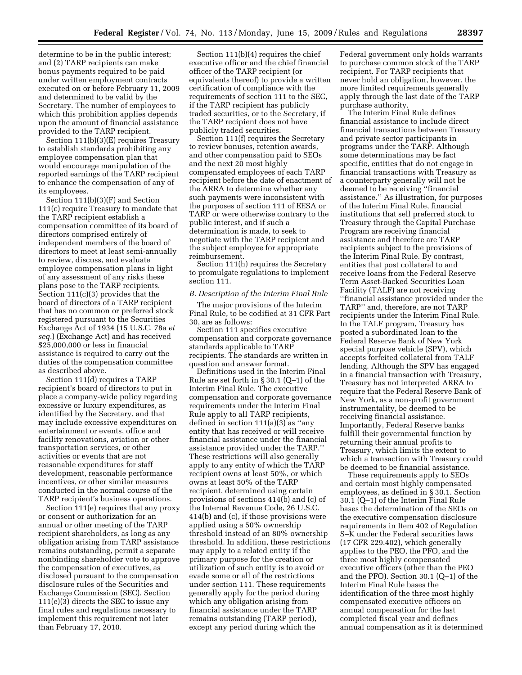determine to be in the public interest; and (2) TARP recipients can make bonus payments required to be paid under written employment contracts executed on or before February 11, 2009 and determined to be valid by the Secretary. The number of employees to which this prohibition applies depends upon the amount of financial assistance provided to the TARP recipient.

Section 111(b)(3)(E) requires Treasury to establish standards prohibiting any employee compensation plan that would encourage manipulation of the reported earnings of the TARP recipient to enhance the compensation of any of its employees.

Section 111(b)(3)(F) and Section 111(c) require Treasury to mandate that the TARP recipient establish a compensation committee of its board of directors comprised entirely of independent members of the board of directors to meet at least semi-annually to review, discuss, and evaluate employee compensation plans in light of any assessment of any risks these plans pose to the TARP recipients. Section 111(c)(3) provides that the board of directors of a TARP recipient that has no common or preferred stock registered pursuant to the Securities Exchange Act of 1934 (15 U.S.C. 78a *et seq.*) (Exchange Act) and has received \$25,000,000 or less in financial assistance is required to carry out the duties of the compensation committee as described above.

Section 111(d) requires a TARP recipient's board of directors to put in place a company-wide policy regarding excessive or luxury expenditures, as identified by the Secretary, and that may include excessive expenditures on entertainment or events, office and facility renovations, aviation or other transportation services, or other activities or events that are not reasonable expenditures for staff development, reasonable performance incentives, or other similar measures conducted in the normal course of the TARP recipient's business operations.

Section 111(e) requires that any proxy or consent or authorization for an annual or other meeting of the TARP recipient shareholders, as long as any obligation arising from TARP assistance remains outstanding, permit a separate nonbinding shareholder vote to approve the compensation of executives, as disclosed pursuant to the compensation disclosure rules of the Securities and Exchange Commission (SEC). Section 111(e)(3) directs the SEC to issue any final rules and regulations necessary to implement this requirement not later than February 17, 2010.

Section 111(b)(4) requires the chief executive officer and the chief financial officer of the TARP recipient (or equivalents thereof) to provide a written certification of compliance with the requirements of section 111 to the SEC, if the TARP recipient has publicly traded securities, or to the Secretary, if the TARP recipient does not have publicly traded securities.

Section 111(f) requires the Secretary to review bonuses, retention awards, and other compensation paid to SEOs and the next 20 most highly compensated employees of each TARP recipient before the date of enactment of the ARRA to determine whether any such payments were inconsistent with the purposes of section 111 of EESA or TARP or were otherwise contrary to the public interest, and if such a determination is made, to seek to negotiate with the TARP recipient and the subject employee for appropriate reimbursement.

Section 111(h) requires the Secretary to promulgate regulations to implement section 111.

# *B. Description of the Interim Final Rule*

The major provisions of the Interim Final Rule, to be codified at 31 CFR Part 30, are as follows:

Section 111 specifies executive compensation and corporate governance standards applicable to TARP recipients. The standards are written in question and answer format.

Definitions used in the Interim Final Rule are set forth in § 30.1 (Q–1) of the Interim Final Rule. The executive compensation and corporate governance requirements under the Interim Final Rule apply to all TARP recipients, defined in section 111(a)(3) as ''any entity that has received or will receive financial assistance under the financial assistance provided under the TARP.'' These restrictions will also generally apply to any entity of which the TARP recipient owns at least 50%, or which owns at least 50% of the TARP recipient, determined using certain provisions of sections 414(b) and (c) of the Internal Revenue Code, 26 U.S.C. 414(b) and (c), if those provisions were applied using a 50% ownership threshold instead of an 80% ownership threshold. In addition, these restrictions may apply to a related entity if the primary purpose for the creation or utilization of such entity is to avoid or evade some or all of the restrictions under section 111. These requirements generally apply for the period during which any obligation arising from financial assistance under the TARP remains outstanding (TARP period), except any period during which the

Federal government only holds warrants to purchase common stock of the TARP recipient. For TARP recipients that never hold an obligation, however, the more limited requirements generally apply through the last date of the TARP purchase authority.

The Interim Final Rule defines financial assistance to include direct financial transactions between Treasury and private sector participants in programs under the TARP. Although some determinations may be fact specific, entities that do not engage in financial transactions with Treasury as a counterparty generally will not be deemed to be receiving ''financial assistance.'' As illustration, for purposes of the Interim Final Rule, financial institutions that sell preferred stock to Treasury through the Capital Purchase Program are receiving financial assistance and therefore are TARP recipients subject to the provisions of the Interim Final Rule. By contrast, entities that post collateral to and receive loans from the Federal Reserve Term Asset-Backed Securities Loan Facility (TALF) are not receiving ''financial assistance provided under the TARP'' and, therefore, are not TARP recipients under the Interim Final Rule. In the TALF program, Treasury has posted a subordinated loan to the Federal Reserve Bank of New York special purpose vehicle (SPV), which accepts forfeited collateral from TALF lending. Although the SPV has engaged in a financial transaction with Treasury, Treasury has not interpreted ARRA to require that the Federal Reserve Bank of New York, as a non-profit government instrumentality, be deemed to be receiving financial assistance. Importantly, Federal Reserve banks fulfill their governmental function by returning their annual profits to Treasury, which limits the extent to which a transaction with Treasury could be deemed to be financial assistance.

These requirements apply to SEOs and certain most highly compensated employees, as defined in § 30.1. Section 30.1 (Q–1) of the Interim Final Rule bases the determination of the SEOs on the executive compensation disclosure requirements in Item 402 of Regulation S–K under the Federal securities laws (17 CFR 229.402), which generally applies to the PEO, the PFO, and the three most highly compensated executive officers (other than the PEO and the PFO). Section 30.1 (Q–1) of the Interim Final Rule bases the identification of the three most highly compensated executive officers on annual compensation for the last completed fiscal year and defines annual compensation as it is determined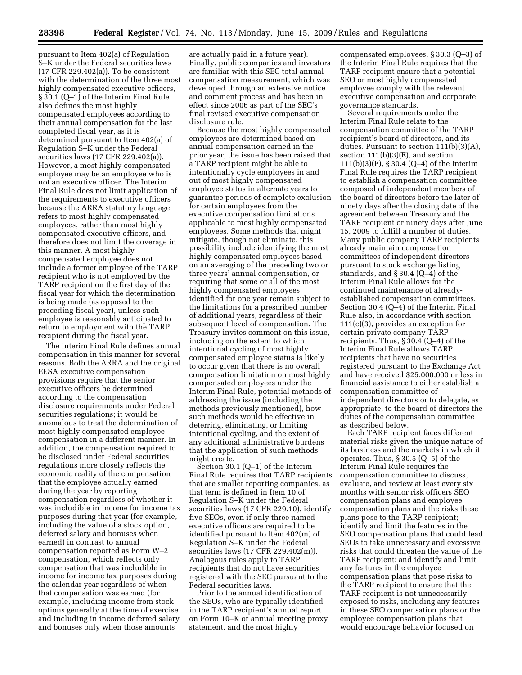pursuant to Item 402(a) of Regulation S–K under the Federal securities laws (17 CFR 229.402(a)). To be consistent with the determination of the three most highly compensated executive officers, § 30.1 (Q–1) of the Interim Final Rule also defines the most highly compensated employees according to their annual compensation for the last completed fiscal year, as it is determined pursuant to Item 402(a) of Regulation S–K under the Federal securities laws (17 CFR 229.402(a)). However, a most highly compensated employee may be an employee who is not an executive officer. The Interim Final Rule does not limit application of the requirements to executive officers because the ARRA statutory language refers to most highly compensated employees, rather than most highly compensated executive officers, and therefore does not limit the coverage in this manner. A most highly compensated employee does not include a former employee of the TARP recipient who is not employed by the TARP recipient on the first day of the fiscal year for which the determination is being made (as opposed to the preceding fiscal year), unless such employee is reasonably anticipated to return to employment with the TARP recipient during the fiscal year.

The Interim Final Rule defines annual compensation in this manner for several reasons. Both the ARRA and the original EESA executive compensation provisions require that the senior executive officers be determined according to the compensation disclosure requirements under Federal securities regulations; it would be anomalous to treat the determination of most highly compensated employee compensation in a different manner. In addition, the compensation required to be disclosed under Federal securities regulations more closely reflects the economic reality of the compensation that the employee actually earned during the year by reporting compensation regardless of whether it was includible in income for income tax purposes during that year (for example, including the value of a stock option, deferred salary and bonuses when earned) in contrast to annual compensation reported as Form W–2 compensation, which reflects only compensation that was includible in income for income tax purposes during the calendar year regardless of when that compensation was earned (for example, including income from stock options generally at the time of exercise and including in income deferred salary and bonuses only when those amounts

are actually paid in a future year). Finally, public companies and investors are familiar with this SEC total annual compensation measurement, which was developed through an extensive notice and comment process and has been in effect since 2006 as part of the SEC's final revised executive compensation disclosure rule.

Because the most highly compensated employees are determined based on annual compensation earned in the prior year, the issue has been raised that a TARP recipient might be able to intentionally cycle employees in and out of most highly compensated employee status in alternate years to guarantee periods of complete exclusion for certain employees from the executive compensation limitations applicable to most highly compensated employees. Some methods that might mitigate, though not eliminate, this possibility include identifying the most highly compensated employees based on an averaging of the preceding two or three years' annual compensation, or requiring that some or all of the most highly compensated employees identified for one year remain subject to the limitations for a prescribed number of additional years, regardless of their subsequent level of compensation. The Treasury invites comment on this issue, including on the extent to which intentional cycling of most highly compensated employee status is likely to occur given that there is no overall compensation limitation on most highly compensated employees under the Interim Final Rule, potential methods of addressing the issue (including the methods previously mentioned), how such methods would be effective in deterring, eliminating, or limiting intentional cycling, and the extent of any additional administrative burdens that the application of such methods might create.

Section 30.1 (Q–1) of the Interim Final Rule requires that TARP recipients that are smaller reporting companies, as that term is defined in Item 10 of Regulation S–K under the Federal securities laws (17 CFR 229.10), identify five SEOs, even if only three named executive officers are required to be identified pursuant to Item 402(m) of Regulation S–K under the Federal securities laws (17 CFR 229.402(m)). Analogous rules apply to TARP recipients that do not have securities registered with the SEC pursuant to the Federal securities laws.

Prior to the annual identification of the SEOs, who are typically identified in the TARP recipient's annual report on Form 10–K or annual meeting proxy statement, and the most highly

compensated employees, § 30.3 (Q–3) of the Interim Final Rule requires that the TARP recipient ensure that a potential SEO or most highly compensated employee comply with the relevant executive compensation and corporate governance standards.

Several requirements under the Interim Final Rule relate to the compensation committee of the TARP recipient's board of directors, and its duties. Pursuant to section 111(b)(3)(A), section  $111(b)(3)(E)$ , and section 111(b)(3)(F), § 30.4 (Q–4) of the Interim Final Rule requires the TARP recipient to establish a compensation committee composed of independent members of the board of directors before the later of ninety days after the closing date of the agreement between Treasury and the TARP recipient or ninety days after June 15, 2009 to fulfill a number of duties. Many public company TARP recipients already maintain compensation committees of independent directors pursuant to stock exchange listing standards, and § 30.4 (Q–4) of the Interim Final Rule allows for the continued maintenance of alreadyestablished compensation committees. Section 30.4 (Q–4) of the Interim Final Rule also, in accordance with section 111(c)(3), provides an exception for certain private company TARP recipients. Thus, § 30.4 (Q–4) of the Interim Final Rule allows TARP recipients that have no securities registered pursuant to the Exchange Act and have received \$25,000,000 or less in financial assistance to either establish a compensation committee of independent directors or to delegate, as appropriate, to the board of directors the duties of the compensation committee as described below.

Each TARP recipient faces different material risks given the unique nature of its business and the markets in which it operates. Thus, § 30.5 (Q–5) of the Interim Final Rule requires the compensation committee to discuss, evaluate, and review at least every six months with senior risk officers SEO compensation plans and employee compensation plans and the risks these plans pose to the TARP recipient; identify and limit the features in the SEO compensation plans that could lead SEOs to take unnecessary and excessive risks that could threaten the value of the TARP recipient; and identify and limit any features in the employee compensation plans that pose risks to the TARP recipient to ensure that the TARP recipient is not unnecessarily exposed to risks, including any features in these SEO compensation plans or the employee compensation plans that would encourage behavior focused on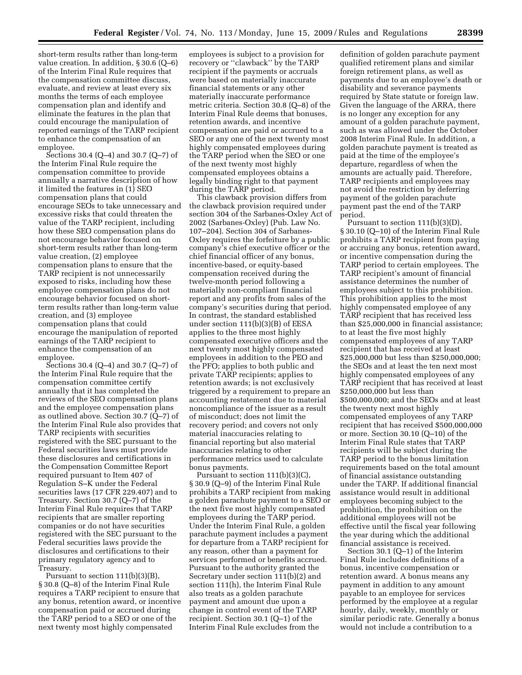short-term results rather than long-term value creation. In addition, § 30.6 (Q–6) of the Interim Final Rule requires that the compensation committee discuss, evaluate, and review at least every six months the terms of each employee compensation plan and identify and eliminate the features in the plan that could encourage the manipulation of reported earnings of the TARP recipient to enhance the compensation of an employee.

Sections 30.4 (Q–4) and 30.7 (Q–7) of the Interim Final Rule require the compensation committee to provide annually a narrative description of how it limited the features in (1) SEO compensation plans that could encourage SEOs to take unnecessary and excessive risks that could threaten the value of the TARP recipient, including how these SEO compensation plans do not encourage behavior focused on short-term results rather than long-term value creation, (2) employee compensation plans to ensure that the TARP recipient is not unnecessarily exposed to risks, including how these employee compensation plans do not encourage behavior focused on shortterm results rather than long-term value creation, and (3) employee compensation plans that could encourage the manipulation of reported earnings of the TARP recipient to enhance the compensation of an employee.

Sections 30.4 (Q–4) and 30.7 (Q–7) of the Interim Final Rule require that the compensation committee certify annually that it has completed the reviews of the SEO compensation plans and the employee compensation plans as outlined above. Section 30.7 (Q–7) of the Interim Final Rule also provides that TARP recipients with securities registered with the SEC pursuant to the Federal securities laws must provide these disclosures and certifications in the Compensation Committee Report required pursuant to Item 407 of Regulation S–K under the Federal securities laws (17 CFR 229.407) and to Treasury. Section 30.7 (Q–7) of the Interim Final Rule requires that TARP recipients that are smaller reporting companies or do not have securities registered with the SEC pursuant to the Federal securities laws provide the disclosures and certifications to their primary regulatory agency and to Treasury.

Pursuant to section 111(b)(3)(B), § 30.8 (Q–8) of the Interim Final Rule requires a TARP recipient to ensure that any bonus, retention award, or incentive compensation paid or accrued during the TARP period to a SEO or one of the next twenty most highly compensated

employees is subject to a provision for recovery or ''clawback'' by the TARP recipient if the payments or accruals were based on materially inaccurate financial statements or any other materially inaccurate performance metric criteria. Section 30.8 (Q–8) of the Interim Final Rule deems that bonuses, retention awards, and incentive compensation are paid or accrued to a SEO or any one of the next twenty most highly compensated employees during the TARP period when the SEO or one of the next twenty most highly compensated employees obtains a legally binding right to that payment during the TARP period.

This clawback provision differs from the clawback provision required under section 304 of the Sarbanes-Oxley Act of 2002 (Sarbanes-Oxley) (Pub. Law No. 107–204). Section 304 of Sarbanes-Oxley requires the forfeiture by a public company's chief executive officer or the chief financial officer of any bonus, incentive-based, or equity-based compensation received during the twelve-month period following a materially non-compliant financial report and any profits from sales of the company's securities during that period. In contrast, the standard established under section 111(b)(3)(B) of EESA applies to the three most highly compensated executive officers and the next twenty most highly compensated employees in addition to the PEO and the PFO; applies to both public and private TARP recipients; applies to retention awards; is not exclusively triggered by a requirement to prepare an accounting restatement due to material noncompliance of the issuer as a result of misconduct; does not limit the recovery period; and covers not only material inaccuracies relating to financial reporting but also material inaccuracies relating to other performance metrics used to calculate bonus payments.

Pursuant to section 111(b)(3)(C), § 30.9 (Q–9) of the Interim Final Rule prohibits a TARP recipient from making a golden parachute payment to a SEO or the next five most highly compensated employees during the TARP period. Under the Interim Final Rule, a golden parachute payment includes a payment for departure from a TARP recipient for any reason, other than a payment for services performed or benefits accrued. Pursuant to the authority granted the Secretary under section 111(b)(2) and section 111(h), the Interim Final Rule also treats as a golden parachute payment and amount due upon a change in control event of the TARP recipient. Section 30.1 (Q–1) of the Interim Final Rule excludes from the

definition of golden parachute payment qualified retirement plans and similar foreign retirement plans, as well as payments due to an employee's death or disability and severance payments required by State statute or foreign law. Given the language of the ARRA, there is no longer any exception for any amount of a golden parachute payment, such as was allowed under the October 2008 Interim Final Rule. In addition, a golden parachute payment is treated as paid at the time of the employee's departure, regardless of when the amounts are actually paid. Therefore, TARP recipients and employees may not avoid the restriction by deferring payment of the golden parachute payment past the end of the TARP period.

Pursuant to section 111(b)(3)(D), § 30.10 (Q–10) of the Interim Final Rule prohibits a TARP recipient from paying or accruing any bonus, retention award, or incentive compensation during the TARP period to certain employees. The TARP recipient's amount of financial assistance determines the number of employees subject to this prohibition. This prohibition applies to the most highly compensated employee of any TARP recipient that has received less than \$25,000,000 in financial assistance; to at least the five most highly compensated employees of any TARP recipient that has received at least \$25,000,000 but less than \$250,000,000; the SEOs and at least the ten next most highly compensated employees of any TARP recipient that has received at least \$250,000,000 but less than \$500,000,000; and the SEOs and at least the twenty next most highly compensated employees of any TARP recipient that has received \$500,000,000 or more. Section 30.10 (Q–10) of the Interim Final Rule states that TARP recipients will be subject during the TARP period to the bonus limitation requirements based on the total amount of financial assistance outstanding under the TARP. If additional financial assistance would result in additional employees becoming subject to the prohibition, the prohibition on the additional employees will not be effective until the fiscal year following the year during which the additional financial assistance is received.

Section 30.1 (Q–1) of the Interim Final Rule includes definitions of a bonus, incentive compensation or retention award. A bonus means any payment in addition to any amount payable to an employee for services performed by the employee at a regular hourly, daily, weekly, monthly or similar periodic rate. Generally a bonus would not include a contribution to a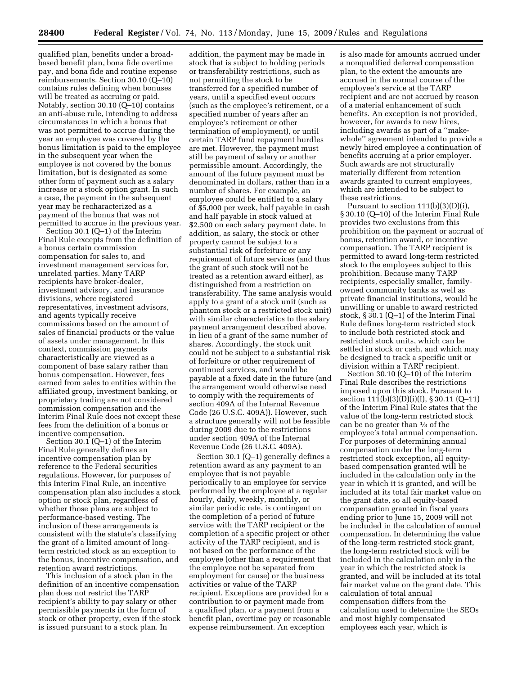qualified plan, benefits under a broadbased benefit plan, bona fide overtime pay, and bona fide and routine expense reimbursements. Section 30.10 (Q–10) contains rules defining when bonuses will be treated as accruing or paid. Notably, section 30.10 (Q–10) contains an anti-abuse rule, intending to address circumstances in which a bonus that was not permitted to accrue during the year an employee was covered by the bonus limitation is paid to the employee in the subsequent year when the employee is not covered by the bonus limitation, but is designated as some other form of payment such as a salary increase or a stock option grant. In such a case, the payment in the subsequent year may be recharacterized as a payment of the bonus that was not permitted to accrue in the previous year.

Section 30.1 (Q–1) of the Interim Final Rule excepts from the definition of a bonus certain commission compensation for sales to, and investment management services for, unrelated parties. Many TARP recipients have broker-dealer, investment advisory, and insurance divisions, where registered representatives, investment advisors, and agents typically receive commissions based on the amount of sales of financial products or the value of assets under management. In this context, commission payments characteristically are viewed as a component of base salary rather than bonus compensation. However, fees earned from sales to entities within the affiliated group, investment banking, or proprietary trading are not considered commission compensation and the Interim Final Rule does not except these fees from the definition of a bonus or incentive compensation.

Section 30.1 (Q–1) of the Interim Final Rule generally defines an incentive compensation plan by reference to the Federal securities regulations. However, for purposes of this Interim Final Rule, an incentive compensation plan also includes a stock option or stock plan, regardless of whether those plans are subject to performance-based vesting. The inclusion of these arrangements is consistent with the statute's classifying the grant of a limited amount of longterm restricted stock as an exception to the bonus, incentive compensation, and retention award restrictions.

This inclusion of a stock plan in the definition of an incentive compensation plan does not restrict the TARP recipient's ability to pay salary or other permissible payments in the form of stock or other property, even if the stock is issued pursuant to a stock plan. In

addition, the payment may be made in stock that is subject to holding periods or transferability restrictions, such as not permitting the stock to be transferred for a specified number of years, until a specified event occurs (such as the employee's retirement, or a specified number of years after an employee's retirement or other termination of employment), or until certain TARP fund repayment hurdles are met. However, the payment must still be payment of salary or another permissible amount. Accordingly, the amount of the future payment must be denominated in dollars, rather than in a number of shares. For example, an employee could be entitled to a salary of \$5,000 per week, half payable in cash and half payable in stock valued at \$2,500 on each salary payment date. In addition, as salary, the stock or other property cannot be subject to a substantial risk of forfeiture or any requirement of future services (and thus the grant of such stock will not be treated as a retention award either), as distinguished from a restriction on transferability. The same analysis would apply to a grant of a stock unit (such as phantom stock or a restricted stock unit) with similar characteristics to the salary payment arrangement described above, in lieu of a grant of the same number of shares. Accordingly, the stock unit could not be subject to a substantial risk of forfeiture or other requirement of continued services, and would be payable at a fixed date in the future (and the arrangement would otherwise need to comply with the requirements of section 409A of the Internal Revenue Code (26 U.S.C. 409A)). However, such a structure generally will not be feasible during 2009 due to the restrictions under section 409A of the Internal Revenue Code (26 U.S.C. 409A).

Section 30.1 (Q–1) generally defines a retention award as any payment to an employee that is not payable periodically to an employee for service performed by the employee at a regular hourly, daily, weekly, monthly, or similar periodic rate, is contingent on the completion of a period of future service with the TARP recipient or the completion of a specific project or other activity of the TARP recipient, and is not based on the performance of the employee (other than a requirement that the employee not be separated from employment for cause) or the business activities or value of the TARP recipient. Exceptions are provided for a contribution to or payment made from a qualified plan, or a payment from a benefit plan, overtime pay or reasonable expense reimbursement. An exception

is also made for amounts accrued under a nonqualified deferred compensation plan, to the extent the amounts are accrued in the normal course of the employee's service at the TARP recipient and are not accrued by reason of a material enhancement of such benefits. An exception is not provided, however, for awards to new hires, including awards as part of a ''makewhole'' agreement intended to provide a newly hired employee a continuation of benefits accruing at a prior employer. Such awards are not structurally materially different from retention awards granted to current employees, which are intended to be subject to these restrictions.

Pursuant to section 111(b)(3)(D)(i), § 30.10 (Q–10) of the Interim Final Rule provides two exclusions from this prohibition on the payment or accrual of bonus, retention award, or incentive compensation. The TARP recipient is permitted to award long-term restricted stock to the employees subject to this prohibition. Because many TARP recipients, especially smaller, familyowned community banks as well as private financial institutions, would be unwilling or unable to award restricted stock, § 30.1 (Q–1) of the Interim Final Rule defines long-term restricted stock to include both restricted stock and restricted stock units, which can be settled in stock or cash, and which may be designed to track a specific unit or division within a TARP recipient.

Section 30.10 (Q–10) of the Interim Final Rule describes the restrictions imposed upon this stock. Pursuant to section 111(b)(3)(D)(i)(I), § 30.11 (Q–11) of the Interim Final Rule states that the value of the long-term restricted stock can be no greater than 1⁄3 of the employee's total annual compensation. For purposes of determining annual compensation under the long-term restricted stock exception, all equitybased compensation granted will be included in the calculation only in the year in which it is granted, and will be included at its total fair market value on the grant date, so all equity-based compensation granted in fiscal years ending prior to June 15, 2009 will not be included in the calculation of annual compensation. In determining the value of the long-term restricted stock grant, the long-term restricted stock will be included in the calculation only in the year in which the restricted stock is granted, and will be included at its total fair market value on the grant date. This calculation of total annual compensation differs from the calculation used to determine the SEOs and most highly compensated employees each year, which is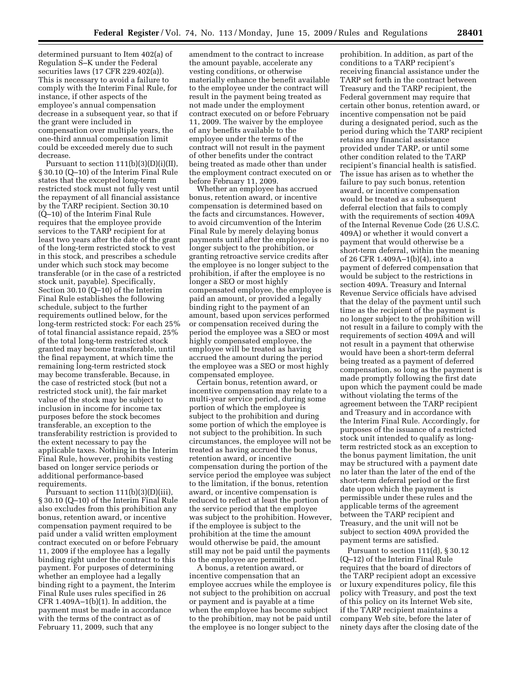determined pursuant to Item 402(a) of Regulation S–K under the Federal securities laws (17 CFR 229.402(a)). This is necessary to avoid a failure to comply with the Interim Final Rule, for instance, if other aspects of the employee's annual compensation decrease in a subsequent year, so that if the grant were included in compensation over multiple years, the one-third annual compensation limit could be exceeded merely due to such decrease.

Pursuant to section  $111(b)(3)(D)(i)(II)$ , § 30.10 (Q–10) of the Interim Final Rule states that the excepted long-term restricted stock must not fully vest until the repayment of all financial assistance by the TARP recipient. Section 30.10 (Q–10) of the Interim Final Rule requires that the employee provide services to the TARP recipient for at least two years after the date of the grant of the long-term restricted stock to vest in this stock, and prescribes a schedule under which such stock may become transferable (or in the case of a restricted stock unit, payable). Specifically, Section 30.10 (Q–10) of the Interim Final Rule establishes the following schedule, subject to the further requirements outlined below, for the long-term restricted stock: For each 25% of total financial assistance repaid, 25% of the total long-term restricted stock granted may become transferable, until the final repayment, at which time the remaining long-term restricted stock may become transferable. Because, in the case of restricted stock (but not a restricted stock unit), the fair market value of the stock may be subject to inclusion in income for income tax purposes before the stock becomes transferable, an exception to the transferability restriction is provided to the extent necessary to pay the applicable taxes. Nothing in the Interim Final Rule, however, prohibits vesting based on longer service periods or additional performance-based requirements.

Pursuant to section  $111(b)(3)(D)(iii)$ , § 30.10 (Q–10) of the Interim Final Rule also excludes from this prohibition any bonus, retention award, or incentive compensation payment required to be paid under a valid written employment contract executed on or before February 11, 2009 if the employee has a legally binding right under the contract to this payment. For purposes of determining whether an employee had a legally binding right to a payment, the Interim Final Rule uses rules specified in 26 CFR  $1.409A-1(b)(1)$ . In addition, the payment must be made in accordance with the terms of the contract as of February 11, 2009, such that any

amendment to the contract to increase the amount payable, accelerate any vesting conditions, or otherwise materially enhance the benefit available to the employee under the contract will result in the payment being treated as not made under the employment contract executed on or before February 11, 2009. The waiver by the employee of any benefits available to the employee under the terms of the contract will not result in the payment of other benefits under the contract being treated as made other than under the employment contract executed on or before February 11, 2009.

Whether an employee has accrued bonus, retention award, or incentive compensation is determined based on the facts and circumstances. However, to avoid circumvention of the Interim Final Rule by merely delaying bonus payments until after the employee is no longer subject to the prohibition, or granting retroactive service credits after the employee is no longer subject to the prohibition, if after the employee is no longer a SEO or most highly compensated employee, the employee is paid an amount, or provided a legally binding right to the payment of an amount, based upon services performed or compensation received during the period the employee was a SEO or most highly compensated employee, the employee will be treated as having accrued the amount during the period the employee was a SEO or most highly compensated employee.

Certain bonus, retention award, or incentive compensation may relate to a multi-year service period, during some portion of which the employee is subject to the prohibition and during some portion of which the employee is not subject to the prohibition. In such circumstances, the employee will not be treated as having accrued the bonus, retention award, or incentive compensation during the portion of the service period the employee was subject to the limitation, if the bonus, retention award, or incentive compensation is reduced to reflect at least the portion of the service period that the employee was subject to the prohibition. However, if the employee is subject to the prohibition at the time the amount would otherwise be paid, the amount still may not be paid until the payments to the employee are permitted.

A bonus, a retention award, or incentive compensation that an employee accrues while the employee is not subject to the prohibition on accrual or payment and is payable at a time when the employee has become subject to the prohibition, may not be paid until the employee is no longer subject to the

prohibition. In addition, as part of the conditions to a TARP recipient's receiving financial assistance under the TARP set forth in the contract between Treasury and the TARP recipient, the Federal government may require that certain other bonus, retention award, or incentive compensation not be paid during a designated period, such as the period during which the TARP recipient retains any financial assistance provided under TARP, or until some other condition related to the TARP recipient's financial health is satisfied. The issue has arisen as to whether the failure to pay such bonus, retention award, or incentive compensation would be treated as a subsequent deferral election that fails to comply with the requirements of section 409A of the Internal Revenue Code (26 U.S.C. 409A) or whether it would convert a payment that would otherwise be a short-term deferral, within the meaning of 26 CFR 1.409A–1(b)(4), into a payment of deferred compensation that would be subject to the restrictions in section 409A. Treasury and Internal Revenue Service officials have advised that the delay of the payment until such time as the recipient of the payment is no longer subject to the prohibition will not result in a failure to comply with the requirements of section 409A and will not result in a payment that otherwise would have been a short-term deferral being treated as a payment of deferred compensation, so long as the payment is made promptly following the first date upon which the payment could be made without violating the terms of the agreement between the TARP recipient and Treasury and in accordance with the Interim Final Rule. Accordingly, for purposes of the issuance of a restricted stock unit intended to qualify as longterm restricted stock as an exception to the bonus payment limitation, the unit may be structured with a payment date no later than the later of the end of the short-term deferral period or the first date upon which the payment is permissible under these rules and the applicable terms of the agreement between the TARP recipient and Treasury, and the unit will not be subject to section 409A provided the payment terms are satisfied.

Pursuant to section 111(d), § 30.12 (Q–12) of the Interim Final Rule requires that the board of directors of the TARP recipient adopt an excessive or luxury expenditures policy, file this policy with Treasury, and post the text of this policy on its Internet Web site, if the TARP recipient maintains a company Web site, before the later of ninety days after the closing date of the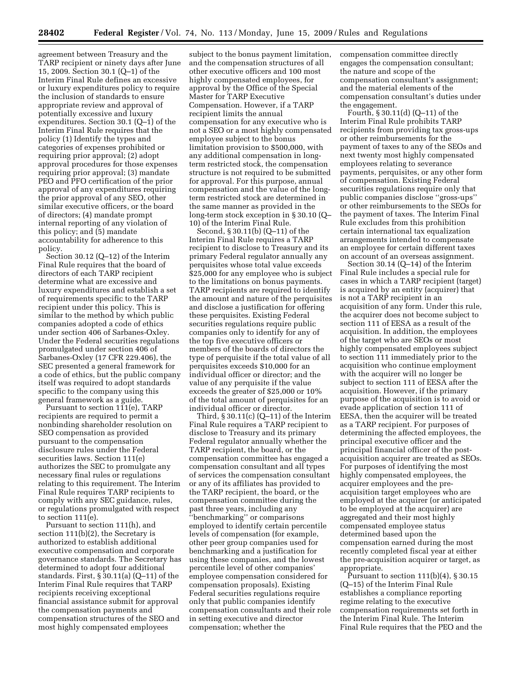agreement between Treasury and the TARP recipient or ninety days after June 15, 2009. Section 30.1 (Q–1) of the Interim Final Rule defines an excessive or luxury expenditures policy to require the inclusion of standards to ensure appropriate review and approval of potentially excessive and luxury expenditures. Section 30.1 (Q–1) of the Interim Final Rule requires that the policy (1) Identify the types and categories of expenses prohibited or requiring prior approval; (2) adopt approval procedures for those expenses requiring prior approval; (3) mandate PEO and PFO certification of the prior approval of any expenditures requiring the prior approval of any SEO, other similar executive officers, or the board of directors; (4) mandate prompt internal reporting of any violation of this policy; and (5) mandate accountability for adherence to this policy.

Section 30.12 (Q–12) of the Interim Final Rule requires that the board of directors of each TARP recipient determine what are excessive and luxury expenditures and establish a set of requirements specific to the TARP recipient under this policy. This is similar to the method by which public companies adopted a code of ethics under section 406 of Sarbanes-Oxley. Under the Federal securities regulations promulgated under section 406 of Sarbanes-Oxley (17 CFR 229.406), the SEC presented a general framework for a code of ethics, but the public company itself was required to adopt standards specific to the company using this general framework as a guide.

Pursuant to section 111(e), TARP recipients are required to permit a nonbinding shareholder resolution on SEO compensation as provided pursuant to the compensation disclosure rules under the Federal securities laws. Section 111(e) authorizes the SEC to promulgate any necessary final rules or regulations relating to this requirement. The Interim Final Rule requires TARP recipients to comply with any SEC guidance, rules, or regulations promulgated with respect to section 111(e).

Pursuant to section 111(h), and section 111(b)(2), the Secretary is authorized to establish additional executive compensation and corporate governance standards. The Secretary has determined to adopt four additional standards. First, § 30.11(a) (Q–11) of the Interim Final Rule requires that TARP recipients receiving exceptional financial assistance submit for approval the compensation payments and compensation structures of the SEO and most highly compensated employees

subject to the bonus payment limitation, and the compensation structures of all other executive officers and 100 most highly compensated employees, for approval by the Office of the Special Master for TARP Executive Compensation. However, if a TARP recipient limits the annual compensation for any executive who is not a SEO or a most highly compensated employee subject to the bonus limitation provision to \$500,000, with any additional compensation in longterm restricted stock, the compensation structure is not required to be submitted for approval. For this purpose, annual compensation and the value of the longterm restricted stock are determined in the same manner as provided in the long-term stock exception in § 30.10 (Q– 10) of the Interim Final Rule.

Second, § 30.11(b) (Q–11) of the Interim Final Rule requires a TARP recipient to disclose to Treasury and its primary Federal regulator annually any perquisites whose total value exceeds \$25,000 for any employee who is subject to the limitations on bonus payments. TARP recipients are required to identify the amount and nature of the perquisites and disclose a justification for offering these perquisites. Existing Federal securities regulations require public companies only to identify for any of the top five executive officers or members of the boards of directors the type of perquisite if the total value of all perquisites exceeds \$10,000 for an individual officer or director; and the value of any perquisite if the value exceeds the greater of \$25,000 or 10% of the total amount of perquisites for an individual officer or director.

Third, § 30.11(c) (Q–11) of the Interim Final Rule requires a TARP recipient to disclose to Treasury and its primary Federal regulator annually whether the TARP recipient, the board, or the compensation committee has engaged a compensation consultant and all types of services the compensation consultant or any of its affiliates has provided to the TARP recipient, the board, or the compensation committee during the past three years, including any ''benchmarking'' or comparisons employed to identify certain percentile levels of compensation (for example, other peer group companies used for benchmarking and a justification for using these companies, and the lowest percentile level of other companies' employee compensation considered for compensation proposals). Existing Federal securities regulations require only that public companies identify compensation consultants and their role in setting executive and director compensation; whether the

compensation committee directly engages the compensation consultant; the nature and scope of the compensation consultant's assignment; and the material elements of the compensation consultant's duties under the engagement.

Fourth, § 30.11(d) (Q–11) of the Interim Final Rule prohibits TARP recipients from providing tax gross-ups or other reimbursements for the payment of taxes to any of the SEOs and next twenty most highly compensated employees relating to severance payments, perquisites, or any other form of compensation. Existing Federal securities regulations require only that public companies disclose ''gross-ups'' or other reimbursements to the SEOs for the payment of taxes. The Interim Final Rule excludes from this prohibition certain international tax equalization arrangements intended to compensate an employee for certain different taxes on account of an overseas assignment.

Section 30.14 (Q–14) of the Interim Final Rule includes a special rule for cases in which a TARP recipient (target) is acquired by an entity (acquirer) that is not a TARP recipient in an acquisition of any form. Under this rule, the acquirer does not become subject to section 111 of EESA as a result of the acquisition. In addition, the employees of the target who are SEOs or most highly compensated employees subject to section 111 immediately prior to the acquisition who continue employment with the acquirer will no longer be subject to section 111 of EESA after the acquisition. However, if the primary purpose of the acquisition is to avoid or evade application of section 111 of EESA, then the acquirer will be treated as a TARP recipient. For purposes of determining the affected employees, the principal executive officer and the principal financial officer of the postacquisition acquirer are treated as SEOs. For purposes of identifying the most highly compensated employees, the acquirer employees and the preacquisition target employees who are employed at the acquirer (or anticipated to be employed at the acquirer) are aggregated and their most highly compensated employee status determined based upon the compensation earned during the most recently completed fiscal year at either the pre-acquisition acquirer or target, as appropriate.

Pursuant to section  $111(b)(4)$ , § 30.15 (Q–15) of the Interim Final Rule establishes a compliance reporting regime relating to the executive compensation requirements set forth in the Interim Final Rule. The Interim Final Rule requires that the PEO and the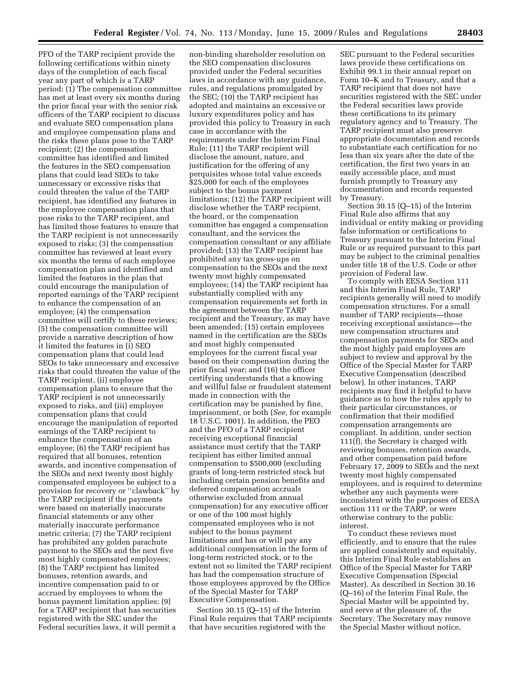PFO of the TARP recipient provide the following certifications within ninety days of the completion of each fiscal year any part of which is a TARP period: (1) The compensation committee has met at least every six months during the prior fiscal year with the senior risk officers of the TARP recipient to discuss and evaluate SEO compensation plans and employee compensation plans and the risks these plans pose to the TARP recipient; (2) the compensation committee has identified and limited the features in the SEO compensation plans that could lead SEOs to take unnecessary or excessive risks that could threaten the value of the TARP recipient, has identified any features in the employee compensation plans that pose risks to the TARP recipient, and has limited those features to ensure that the TARP recipient is not unnecessarily exposed to risks; (3) the compensation committee has reviewed at least every six months the terms of each employee compensation plan and identified and limited the features in the plan that could encourage the manipulation of reported earnings of the TARP recipient to enhance the compensation of an employee; (4) the compensation committee will certify to these reviews; (5) the compensation committee will provide a narrative description of how it limited the features in (i) SEO compensation plans that could lead SEOs to take unnecessary and excessive risks that could threaten the value of the TARP recipient, (ii) employee compensation plans to ensure that the TARP recipient is not unnecessarily exposed to risks, and (iii) employee compensation plans that could encourage the manipulation of reported earnings of the TARP recipient to enhance the compensation of an employee; (6) the TARP recipient has required that all bonuses, retention awards, and incentive compensation of the SEOs and next twenty most highly compensated employees be subject to a provision for recovery or ''clawback'' by the TARP recipient if the payments were based on materially inaccurate financial statements or any other materially inaccurate performance metric criteria; (7) the TARP recipient has prohibited any golden parachute payment to the SEOs and the next five most highly compensated employees; (8) the TARP recipient has limited bonuses, retention awards, and incentive compensation paid to or accrued by employees to whom the bonus payment limitation applies; (9) for a TARP recipient that has securities registered with the SEC under the

Federal securities laws, it will permit a

non-binding shareholder resolution on the SEO compensation disclosures provided under the Federal securities laws in accordance with any guidance, rules, and regulations promulgated by the SEC; (10) the TARP recipient has adopted and maintains an excessive or luxury expenditures policy and has provided this policy to Treasury in each case in accordance with the requirements under the Interim Final Rule; (11) the TARP recipient will disclose the amount, nature, and justification for the offering of any perquisites whose total value exceeds \$25,000 for each of the employees subject to the bonus payment limitations; (12) the TARP recipient will disclose whether the TARP recipient, the board, or the compensation committee has engaged a compensation consultant, and the services the compensation consultant or any affiliate provided; (13) the TARP recipient has prohibited any tax gross-ups on compensation to the SEOs and the next twenty most highly compensated employees; (14) the TARP recipient has substantially complied with any compensation requirements set forth in the agreement between the TARP recipient and the Treasury, as may have been amended; (15) certain employees named in the certification are the SEOs and most highly compensated employees for the current fiscal year based on their compensation during the prior fiscal year; and (16) the officer certifying understands that a knowing and willful false or fraudulent statement made in connection with the certification may be punished by fine, imprisonment, or both (*See,* for example 18 U.S.C. 1001). In addition, the PEO and the PFO of a TARP recipient receiving exceptional financial assistance must certify that the TARP recipient has either limited annual compensation to \$500,000 (excluding grants of long-term restricted stock but including certain pension benefits and deferred compensation accruals otherwise excluded from annual compensation) for any executive officer or one of the 100 most highly compensated employees who is not subject to the bonus payment limitations and has or will pay any additional compensation in the form of long-term restricted stock, or to the extent not so limited the TARP recipient has had the compensation structure of those employees approved by the Office of the Special Master for TARP Executive Compensation.

Section 30.15 (Q–15) of the Interim Final Rule requires that TARP recipients that have securities registered with the

SEC pursuant to the Federal securities laws provide these certifications on Exhibit 99.1 in their annual report on Form 10–K and to Treasury, and that a TARP recipient that does not have securities registered with the SEC under the Federal securities laws provide these certifications to its primary regulatory agency and to Treasury. The TARP recipient must also preserve appropriate documentation and records to substantiate each certification for no less than six years after the date of the certification, the first two years in an easily accessible place, and must furnish promptly to Treasury any documentation and records requested by Treasury.

Section 30.15 (Q–15) of the Interim Final Rule also affirms that any individual or entity making or providing false information or certifications to Treasury pursuant to the Interim Final Rule or as required pursuant to this part may be subject to the criminal penalties under title 18 of the U.S. Code or other provision of Federal law.

To comply with EESA Section 111 and this Interim Final Rule, TARP recipients generally will need to modify compensation structures. For a small number of TARP recipients—those receiving exceptional assistance—the new compensation structures and compensation payments for SEOs and the most highly paid employees are subject to review and approval by the Office of the Special Master for TARP Executive Compensation (described below). In other instances, TARP recipients may find it helpful to have guidance as to how the rules apply to their particular circumstances, or confirmation that their modified compensation arrangements are compliant. In addition, under section 111(f), the Secretary is charged with reviewing bonuses, retention awards, and other compensation paid before February 17, 2009 to SEOs and the next twenty most highly compensated employees, and is required to determine whether any such payments were inconsistent with the purposes of EESA section 111 or the TARP, or were otherwise contrary to the public interest.

To conduct these reviews most efficiently, and to ensure that the rules are applied consistently and equitably, this Interim Final Rule establishes an Office of the Special Master for TARP Executive Compensation (Special Master). As described in Section 30.16 (Q–16) of the Interim Final Rule, the Special Master will be appointed by, and serve at the pleasure of, the Secretary. The Secretary may remove the Special Master without notice,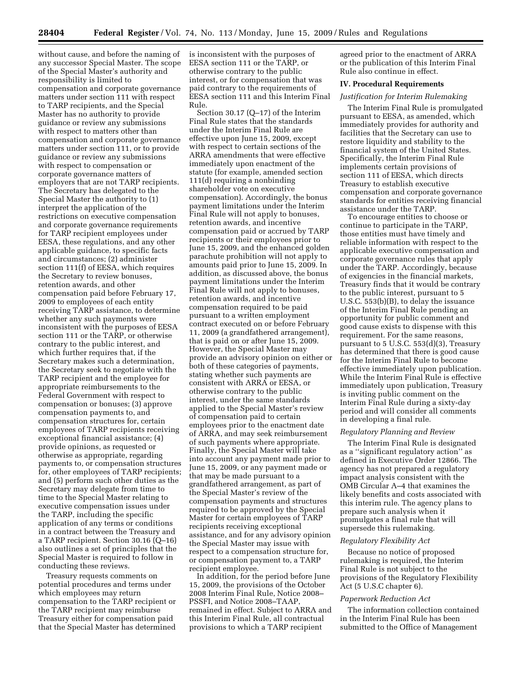without cause, and before the naming of any successor Special Master. The scope of the Special Master's authority and responsibility is limited to compensation and corporate governance matters under section 111 with respect to TARP recipients, and the Special Master has no authority to provide guidance or review any submissions with respect to matters other than compensation and corporate governance matters under section 111, or to provide guidance or review any submissions with respect to compensation or corporate governance matters of employers that are not TARP recipients. The Secretary has delegated to the Special Master the authority to (1) interpret the application of the restrictions on executive compensation and corporate governance requirements for TARP recipient employees under EESA, these regulations, and any other applicable guidance, to specific facts and circumstances; (2) administer section 111(f) of EESA, which requires the Secretary to review bonuses, retention awards, and other compensation paid before February 17, 2009 to employees of each entity receiving TARP assistance, to determine whether any such payments were inconsistent with the purposes of EESA section 111 or the TARP, or otherwise contrary to the public interest, and which further requires that, if the Secretary makes such a determination, the Secretary seek to negotiate with the TARP recipient and the employee for appropriate reimbursements to the Federal Government with respect to compensation or bonuses; (3) approve compensation payments to, and compensation structures for, certain employees of TARP recipients receiving exceptional financial assistance; (4) provide opinions, as requested or otherwise as appropriate, regarding payments to, or compensation structures for, other employees of TARP recipients; and (5) perform such other duties as the Secretary may delegate from time to time to the Special Master relating to executive compensation issues under the TARP, including the specific application of any terms or conditions in a contract between the Treasury and a TARP recipient. Section 30.16 (Q–16) also outlines a set of principles that the Special Master is required to follow in conducting these reviews.

Treasury requests comments on potential procedures and terms under which employees may return compensation to the TARP recipient or the TARP recipient may reimburse Treasury either for compensation paid that the Special Master has determined

is inconsistent with the purposes of EESA section 111 or the TARP, or otherwise contrary to the public interest, or for compensation that was paid contrary to the requirements of EESA section 111 and this Interim Final Rule.

Section 30.17 (Q–17) of the Interim Final Rule states that the standards under the Interim Final Rule are effective upon June 15, 2009, except with respect to certain sections of the ARRA amendments that were effective immediately upon enactment of the statute (for example, amended section 111(d) requiring a nonbinding shareholder vote on executive compensation). Accordingly, the bonus payment limitations under the Interim Final Rule will not apply to bonuses, retention awards, and incentive compensation paid or accrued by TARP recipients or their employees prior to June 15, 2009, and the enhanced golden parachute prohibition will not apply to amounts paid prior to June 15, 2009. In addition, as discussed above, the bonus payment limitations under the Interim Final Rule will not apply to bonuses, retention awards, and incentive compensation required to be paid pursuant to a written employment contract executed on or before February 11, 2009 (a grandfathered arrangement), that is paid on or after June 15, 2009. However, the Special Master may provide an advisory opinion on either or both of these categories of payments, stating whether such payments are consistent with ARRA or EESA, or otherwise contrary to the public interest, under the same standards applied to the Special Master's review of compensation paid to certain employees prior to the enactment date of ARRA, and may seek reimbursement of such payments where appropriate. Finally, the Special Master will take into account any payment made prior to June 15, 2009, or any payment made or that may be made pursuant to a grandfathered arrangement, as part of the Special Master's review of the compensation payments and structures required to be approved by the Special Master for certain employees of TARP recipients receiving exceptional assistance, and for any advisory opinion the Special Master may issue with respect to a compensation structure for, or compensation payment to, a TARP recipient employee.

In addition, for the period before June 15, 2009, the provisions of the October 2008 Interim Final Rule, Notice 2008– PSSFI, and Notice 2008–TAAP, remained in effect. Subject to ARRA and this Interim Final Rule, all contractual provisions to which a TARP recipient

agreed prior to the enactment of ARRA or the publication of this Interim Final Rule also continue in effect.

# **IV. Procedural Requirements**

# *Justification for Interim Rulemaking*

The Interim Final Rule is promulgated pursuant to EESA, as amended, which immediately provides for authority and facilities that the Secretary can use to restore liquidity and stability to the financial system of the United States. Specifically, the Interim Final Rule implements certain provisions of section 111 of EESA, which directs Treasury to establish executive compensation and corporate governance standards for entities receiving financial assistance under the TARP.

To encourage entities to choose or continue to participate in the TARP, those entities must have timely and reliable information with respect to the applicable executive compensation and corporate governance rules that apply under the TARP. Accordingly, because of exigencies in the financial markets, Treasury finds that it would be contrary to the public interest, pursuant to 5 U.S.C. 553(b)(B), to delay the issuance of the Interim Final Rule pending an opportunity for public comment and good cause exists to dispense with this requirement. For the same reasons, pursuant to 5 U.S.C. 553(d)(3), Treasury has determined that there is good cause for the Interim Final Rule to become effective immediately upon publication. While the Interim Final Rule is effective immediately upon publication, Treasury is inviting public comment on the Interim Final Rule during a sixty-day period and will consider all comments in developing a final rule.

#### *Regulatory Planning and Review*

The Interim Final Rule is designated as a ''significant regulatory action'' as defined in Executive Order 12866. The agency has not prepared a regulatory impact analysis consistent with the OMB Circular A–4 that examines the likely benefits and costs associated with this interim rule. The agency plans to prepare such analysis when it promulgates a final rule that will supersede this rulemaking.

#### *Regulatory Flexibility Act*

Because no notice of proposed rulemaking is required, the Interim Final Rule is not subject to the provisions of the Regulatory Flexibility Act (5 U.S.C chapter 6).

#### *Paperwork Reduction Act*

The information collection contained in the Interim Final Rule has been submitted to the Office of Management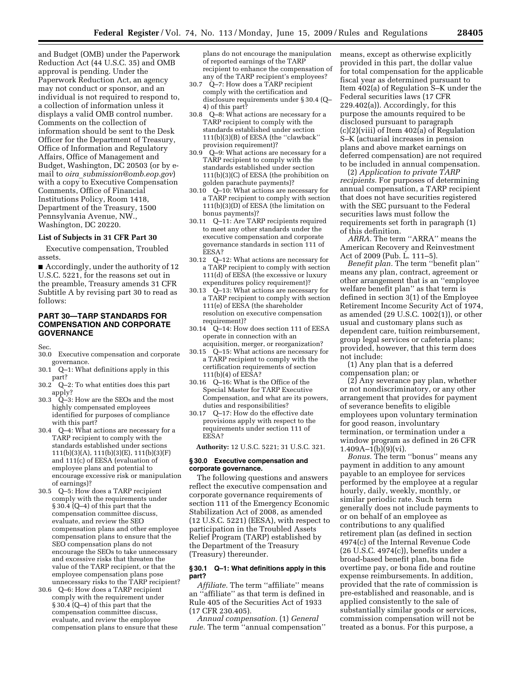and Budget (OMB) under the Paperwork Reduction Act (44 U.S.C. 35) and OMB approval is pending. Under the Paperwork Reduction Act, an agency may not conduct or sponsor, and an individual is not required to respond to, a collection of information unless it displays a valid OMB control number. Comments on the collection of information should be sent to the Desk Officer for the Department of Treasury, Office of Information and Regulatory Affairs, Office of Management and Budget, Washington, DC 20503 (or by email to *oira*\_*[submission@omb.eop.gov](mailto:oira_submission@omb.eop.gov)*) with a copy to Executive Compensation Comments, Office of Financial Institutions Policy, Room 1418, Department of the Treasury, 1500 Pennsylvania Avenue, NW., Washington, DC 20220.

# **List of Subjects in 31 CFR Part 30**

Executive compensation, Troubled assets.

■ Accordingly, under the authority of 12 U.S.C. 5221, for the reasons set out in the preamble, Treasury amends 31 CFR Subtitle A by revising part 30 to read as follows:

# **PART 30—TARP STANDARDS FOR COMPENSATION AND CORPORATE GOVERNANCE**

Sec.

- 30.0 Executive compensation and corporate governance.
- 30.1 Q–1: What definitions apply in this part?
- 30.2 Q–2: To what entities does this part apply?
- 30.3 Q–3: How are the SEOs and the most highly compensated employees identified for purposes of compliance with this part?
- 30.4 Q–4: What actions are necessary for a TARP recipient to comply with the standards established under sections 111(b)(3)(A), 111(b)(3)(E), 111(b)(3)(F) and 111(c) of EESA (evaluation of employee plans and potential to encourage excessive risk or manipulation of earnings)?
- 30.5 Q–5: How does a TARP recipient comply with the requirements under § 30.4 (Q–4) of this part that the compensation committee discuss, evaluate, and review the SEO compensation plans and other employee compensation plans to ensure that the SEO compensation plans do not encourage the SEOs to take unnecessary and excessive risks that threaten the value of the TARP recipient, or that the employee compensation plans pose unnecessary risks to the TARP recipient?
- 30.6 Q–6: How does a TARP recipient comply with the requirement under § 30.4 (Q–4) of this part that the compensation committee discuss, evaluate, and review the employee compensation plans to ensure that these

plans do not encourage the manipulation of reported earnings of the TARP recipient to enhance the compensation of any of the TARP recipient's employees?

- 30.7 Q–7: How does a TARP recipient comply with the certification and disclosure requirements under § 30.4 (Q– 4) of this part?
- 30.8 Q–8: What actions are necessary for a TARP recipient to comply with the standards established under section 111(b)(3)(B) of EESA (the ''clawback'' provision requirement)?
- 30.9 Q–9: What actions are necessary for a TARP recipient to comply with the standards established under section 111(b)(3)(C) of EESA (the prohibition on golden parachute payments)?
- 30.10 Q–10: What actions are necessary for a TARP recipient to comply with section 111(b)(3)(D) of EESA (the limitation on bonus payments)?
- 30.11 Q–11: Are TARP recipients required to meet any other standards under the executive compensation and corporate governance standards in section 111 of EESA?
- 30.12 Q–12: What actions are necessary for a TARP recipient to comply with section 111(d) of EESA (the excessive or luxury expenditures policy requirement)?
- 30.13 Q–13: What actions are necessary for a TARP recipient to comply with section 111(e) of EESA (the shareholder resolution on executive compensation requirement)?
- 30.14 Q–14: How does section 111 of EESA operate in connection with an acquisition, merger, or reorganization?
- 30.15 Q–15: What actions are necessary for a TARP recipient to comply with the certification requirements of section 111(b)(4) of EESA?
- 30.16 Q–16: What is the Office of the Special Master for TARP Executive Compensation, and what are its powers, duties and responsibilities?
- 30.17 Q–17: How do the effective date provisions apply with respect to the requirements under section 111 of EESA?

**Authority:** 12 U.S.C. 5221; 31 U.S.C. 321.

#### **§ 30.0 Executive compensation and corporate governance.**

The following questions and answers reflect the executive compensation and corporate governance requirements of section 111 of the Emergency Economic Stabilization Act of 2008, as amended (12 U.S.C. 5221) (EESA), with respect to participation in the Troubled Assets Relief Program (TARP) established by the Department of the Treasury (Treasury) thereunder.

#### **§ 30.1 Q–1: What definitions apply in this part?**

*Affiliate.* The term ''affiliate'' means an ''affiliate'' as that term is defined in Rule 405 of the Securities Act of 1933 (17 CFR 230.405).

*Annual compensation.* (1) *General rule.* The term ''annual compensation'' means, except as otherwise explicitly provided in this part, the dollar value for total compensation for the applicable fiscal year as determined pursuant to Item 402(a) of Regulation S–K under the Federal securities laws (17 CFR 229.402(a)). Accordingly, for this purpose the amounts required to be disclosed pursuant to paragraph (c)(2)(viii) of Item 402(a) of Regulation S–K (actuarial increases in pension plans and above market earnings on deferred compensation) are not required to be included in annual compensation.

(2) *Application to private TARP recipients.* For purposes of determining annual compensation, a TARP recipient that does not have securities registered with the SEC pursuant to the Federal securities laws must follow the requirements set forth in paragraph (1) of this definition.

*ARRA.* The term ''ARRA'' means the American Recovery and Reinvestment Act of 2009 (Pub. L. 111–5).

*Benefit plan.* The term ''benefit plan'' means any plan, contract, agreement or other arrangement that is an ''employee welfare benefit plan'' as that term is defined in section 3(1) of the Employee Retirement Income Security Act of 1974, as amended (29 U.S.C. 1002(1)), or other usual and customary plans such as dependent care, tuition reimbursement, group legal services or cafeteria plans; provided, however, that this term does not include:

(1) Any plan that is a deferred compensation plan; or

(2) Any severance pay plan, whether or not nondiscriminatory, or any other arrangement that provides for payment of severance benefits to eligible employees upon voluntary termination for good reason, involuntary termination, or termination under a window program as defined in 26 CFR 1.409A–1(b)(9)(vi).

*Bonus.* The term ''bonus'' means any payment in addition to any amount payable to an employee for services performed by the employee at a regular hourly, daily, weekly, monthly, or similar periodic rate. Such term generally does not include payments to or on behalf of an employee as contributions to any qualified retirement plan (as defined in section 4974(c) of the Internal Revenue Code (26 U.S.C. 4974(c)), benefits under a broad-based benefit plan, bona fide overtime pay, or bona fide and routine expense reimbursements. In addition, provided that the rate of commission is pre-established and reasonable, and is applied consistently to the sale of substantially similar goods or services, commission compensation will not be treated as a bonus. For this purpose, a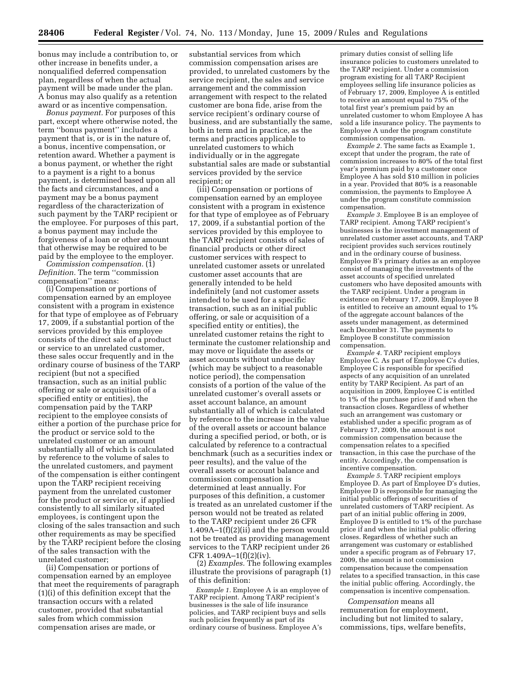bonus may include a contribution to, or other increase in benefits under, a nonqualified deferred compensation plan, regardless of when the actual payment will be made under the plan. A bonus may also qualify as a retention award or as incentive compensation.

*Bonus payment.* For purposes of this part, except where otherwise noted, the term ''bonus payment'' includes a payment that is, or is in the nature of, a bonus, incentive compensation, or retention award. Whether a payment is a bonus payment, or whether the right to a payment is a right to a bonus payment, is determined based upon all the facts and circumstances, and a payment may be a bonus payment regardless of the characterization of such payment by the TARP recipient or the employee. For purposes of this part, a bonus payment may include the forgiveness of a loan or other amount that otherwise may be required to be paid by the employee to the employer.

*Commission compensation.* (1) *Definition.* The term ''commission compensation'' means:

(i) Compensation or portions of compensation earned by an employee consistent with a program in existence for that type of employee as of February 17, 2009, if a substantial portion of the services provided by this employee consists of the direct sale of a product or service to an unrelated customer, these sales occur frequently and in the ordinary course of business of the TARP recipient (but not a specified transaction, such as an initial public offering or sale or acquisition of a specified entity or entities), the compensation paid by the TARP recipient to the employee consists of either a portion of the purchase price for the product or service sold to the unrelated customer or an amount substantially all of which is calculated by reference to the volume of sales to the unrelated customers, and payment of the compensation is either contingent upon the TARP recipient receiving payment from the unrelated customer for the product or service or, if applied consistently to all similarly situated employees, is contingent upon the closing of the sales transaction and such other requirements as may be specified by the TARP recipient before the closing of the sales transaction with the unrelated customer;

(ii) Compensation or portions of compensation earned by an employee that meet the requirements of paragraph (1)(i) of this definition except that the transaction occurs with a related customer, provided that substantial sales from which commission compensation arises are made, or

substantial services from which commission compensation arises are provided, to unrelated customers by the service recipient, the sales and service arrangement and the commission arrangement with respect to the related customer are bona fide, arise from the service recipient's ordinary course of business, and are substantially the same, both in term and in practice, as the terms and practices applicable to unrelated customers to which individually or in the aggregate substantial sales are made or substantial services provided by the service recipient; or

(iii) Compensation or portions of compensation earned by an employee consistent with a program in existence for that type of employee as of February 17, 2009, if a substantial portion of the services provided by this employee to the TARP recipient consists of sales of financial products or other direct customer services with respect to unrelated customer assets or unrelated customer asset accounts that are generally intended to be held indefinitely (and not customer assets intended to be used for a specific transaction, such as an initial public offering, or sale or acquisition of a specified entity or entities), the unrelated customer retains the right to terminate the customer relationship and may move or liquidate the assets or asset accounts without undue delay (which may be subject to a reasonable notice period), the compensation consists of a portion of the value of the unrelated customer's overall assets or asset account balance, an amount substantially all of which is calculated by reference to the increase in the value of the overall assets or account balance during a specified period, or both, or is calculated by reference to a contractual benchmark (such as a securities index or peer results), and the value of the overall assets or account balance and commission compensation is determined at least annually. For purposes of this definition, a customer is treated as an unrelated customer if the person would not be treated as related to the TARP recipient under 26 CFR 1.409A–1(f)(2)(ii) and the person would not be treated as providing management services to the TARP recipient under 26 CFR 1.409A–1(f)(2)(iv).

(2) *Examples.* The following examples illustrate the provisions of paragraph (1) of this definition:

*Example 1.* Employee A is an employee of TARP recipient. Among TARP recipient's businesses is the sale of life insurance policies, and TARP recipient buys and sells such policies frequently as part of its ordinary course of business. Employee A's

primary duties consist of selling life insurance policies to customers unrelated to the TARP recipient. Under a commission program existing for all TARP Recipient employees selling life insurance policies as of February 17, 2009, Employee  $\tilde{A}$  is entitled to receive an amount equal to 75% of the total first year's premium paid by an unrelated customer to whom Employee A has sold a life insurance policy. The payments to Employee A under the program constitute commission compensation.

*Example 2.* The same facts as Example 1, except that under the program, the rate of commission increases to 80% of the total first year's premium paid by a customer once Employee A has sold \$10 million in policies in a year. Provided that 80% is a reasonable commission, the payments to Employee A under the program constitute commission compensation.

*Example 3.* Employee B is an employee of TARP recipient. Among TARP recipient's businesses is the investment management of unrelated customer asset accounts, and TARP recipient provides such services routinely and in the ordinary course of business. Employee B's primary duties as an employee consist of managing the investments of the asset accounts of specified unrelated customers who have deposited amounts with the TARP recipient. Under a program in existence on February 17, 2009, Employee B is entitled to receive an amount equal to 1% of the aggregate account balances of the assets under management, as determined each December 31. The payments to Employee B constitute commission compensation.

*Example 4.* TARP recipient employs Employee C. As part of Employee C's duties, Employee C is responsible for specified aspects of any acquisition of an unrelated entity by TARP Recipient. As part of an acquisition in 2009, Employee C is entitled to 1% of the purchase price if and when the transaction closes. Regardless of whether such an arrangement was customary or established under a specific program as of February 17, 2009, the amount is not commission compensation because the compensation relates to a specified transaction, in this case the purchase of the entity. Accordingly, the compensation is incentive compensation.

*Example 5.* TARP recipient employs Employee D. As part of Employee D's duties, Employee D is responsible for managing the initial public offerings of securities of unrelated customers of TARP recipient. As part of an initial public offering in 2009, Employee D is entitled to 1% of the purchase price if and when the initial public offering closes. Regardless of whether such an arrangement was customary or established under a specific program as of February 17, 2009, the amount is not commission compensation because the compensation relates to a specified transaction, in this case the initial public offering. Accordingly, the compensation is incentive compensation.

*Compensation* means all remuneration for employment, including but not limited to salary, commissions, tips, welfare benefits,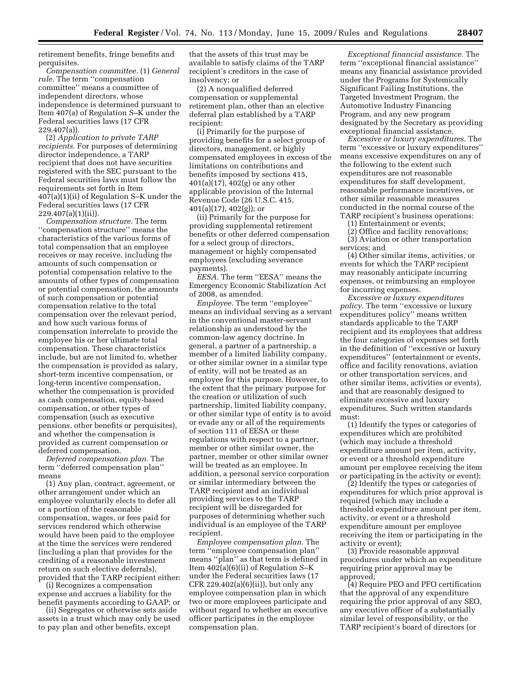retirement benefits, fringe benefits and perquisites.

*Compensation committee.* (1) *General rule.* The term ''compensation committee'' means a committee of independent directors, whose independence is determined pursuant to Item 407(a) of Regulation S–K under the Federal securities laws (17 CFR 229.407(a)).

(2) *Application to private TARP recipients.* For purposes of determining director independence, a TARP recipient that does not have securities registered with the SEC pursuant to the Federal securities laws must follow the requirements set forth in Item 407(a)(1)(ii) of Regulation S–K under the Federal securities laws (17 CFR 229.407(a)(1)(ii)).

*Compensation structure.* The term ''compensation structure'' means the characteristics of the various forms of total compensation that an employee receives or may receive, including the amounts of such compensation or potential compensation relative to the amounts of other types of compensation or potential compensation, the amounts of such compensation or potential compensation relative to the total compensation over the relevant period, and how such various forms of compensation interrelate to provide the employee his or her ultimate total compensation. These characteristics include, but are not limited to, whether the compensation is provided as salary, short-term incentive compensation, or long-term incentive compensation, whether the compensation is provided as cash compensation, equity-based compensation, or other types of compensation (such as executive pensions, other benefits or perquisites), and whether the compensation is provided as current compensation or deferred compensation.

*Deferred compensation plan.* The term ''deferred compensation plan'' means

(1) Any plan, contract, agreement, or other arrangement under which an employee voluntarily elects to defer all or a portion of the reasonable compensation, wages, or fees paid for services rendered which otherwise would have been paid to the employee at the time the services were rendered (including a plan that provides for the crediting of a reasonable investment return on such elective deferrals), provided that the TARP recipient either:

(i) Recognizes a compensation expense and accrues a liability for the benefit payments according to GAAP; or

(ii) Segregates or otherwise sets aside assets in a trust which may only be used to pay plan and other benefits, except

that the assets of this trust may be available to satisfy claims of the TARP recipient's creditors in the case of insolvency; or

(2) A nonqualified deferred compensation or supplemental retirement plan, other than an elective deferral plan established by a TARP recipient:

(i) Primarily for the purpose of providing benefits for a select group of directors, management, or highly compensated employees in excess of the limitations on contributions and benefits imposed by sections 415, 401(a)(17), 402(g) or any other applicable provision of the Internal Revenue Code (26 U.S.C. 415,  $401(a)(17)$ ,  $402(g)$ ; or

(ii) Primarily for the purpose for providing supplemental retirement benefits or other deferred compensation for a select group of directors, management or highly compensated employees (excluding severance payments).

*EESA.* The term ''EESA'' means the Emergency Economic Stabilization Act of 2008, as amended.

*Employee.* The term ''employee'' means an individual serving as a servant in the conventional master-servant relationship as understood by the common-law agency doctrine. In general, a partner of a partnership, a member of a limited liability company, or other similar owner in a similar type of entity, will not be treated as an employee for this purpose. However, to the extent that the primary purpose for the creation or utilization of such partnership, limited liability company, or other similar type of entity is to avoid or evade any or all of the requirements of section 111 of EESA or these regulations with respect to a partner, member or other similar owner, the partner, member or other similar owner will be treated as an employee. In addition, a personal service corporation or similar intermediary between the TARP recipient and an individual providing services to the TARP recipient will be disregarded for purposes of determining whether such individual is an employee of the TARP recipient.

*Employee compensation plan.* The term ''employee compensation plan'' means ''plan'' as that term is defined in Item 402(a)(6)(ii) of Regulation S–K under the Federal securities laws (17 CFR 229.402(a) $(6)(ii)$ , but only any employee compensation plan in which two or more employees participate and without regard to whether an executive officer participates in the employee compensation plan.

*Exceptional financial assistance.* The term ''exceptional financial assistance'' means any financial assistance provided under the Programs for Systemically Significant Failing Institutions, the Targeted Investment Program, the Automotive Industry Financing Program, and any new program designated by the Secretary as providing exceptional financial assistance.

*Excessive or luxury expenditures.* The term ''excessive or luxury expenditures'' means excessive expenditures on any of the following to the extent such expenditures are not reasonable expenditures for staff development, reasonable performance incentives, or other similar reasonable measures conducted in the normal course of the TARP recipient's business operations:

(1) Entertainment or events;

(2) Office and facility renovations; (3) Aviation or other transportation services; and

(4) Other similar items, activities, or events for which the TARP recipient may reasonably anticipate incurring expenses, or reimbursing an employee for incurring expenses.

*Excessive or luxury expenditures policy.* The term ''excessive or luxury expenditures policy'' means written standards applicable to the TARP recipient and its employees that address the four categories of expenses set forth in the definition of ''excessive or luxury expenditures'' (entertainment or events, office and facility renovations, aviation or other transportation services, and other similar items, activities or events), and that are reasonably designed to eliminate excessive and luxury expenditures. Such written standards must:

(1) Identify the types or categories of expenditures which are prohibited (which may include a threshold expenditure amount per item, activity, or event or a threshold expenditure amount per employee receiving the item or participating in the activity or event);

(2) Identify the types or categories of expenditures for which prior approval is required (which may include a threshold expenditure amount per item, activity, or event or a threshold expenditure amount per employee receiving the item or participating in the activity or event);

(3) Provide reasonable approval procedures under which an expenditure requiring prior approval may be approved;

(4) Require PEO and PFO certification that the approval of any expenditure requiring the prior approval of any SEO, any executive officer of a substantially similar level of responsibility, or the TARP recipient's board of directors (or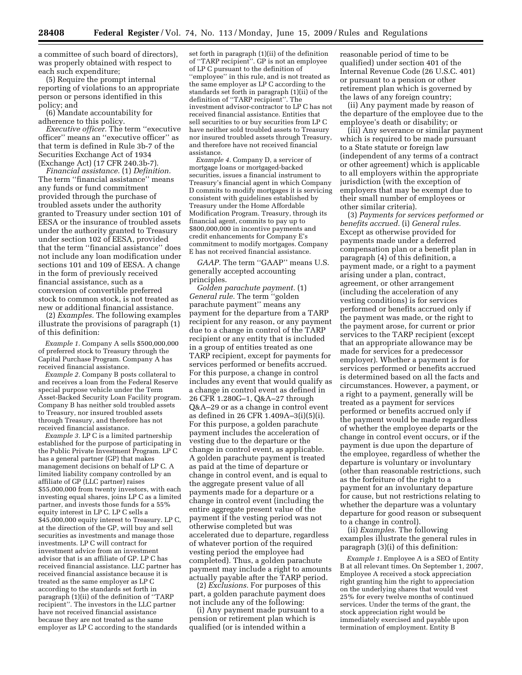a committee of such board of directors), was properly obtained with respect to each such expenditure;

(5) Require the prompt internal reporting of violations to an appropriate person or persons identified in this policy; and

(6) Mandate accountability for adherence to this policy.

*Executive officer.* The term ''executive officer'' means an ''executive officer'' as that term is defined in Rule 3b-7 of the Securities Exchange Act of 1934 (Exchange Act) (17 CFR 240.3b-7).

*Financial assistance.* (1) *Definition.*  The term ''financial assistance'' means any funds or fund commitment provided through the purchase of troubled assets under the authority granted to Treasury under section 101 of EESA or the insurance of troubled assets under the authority granted to Treasury under section 102 of EESA, provided that the term ''financial assistance'' does not include any loan modification under sections 101 and 109 of EESA. A change in the form of previously received financial assistance, such as a conversion of convertible preferred stock to common stock, is not treated as new or additional financial assistance.

(2) *Examples.* The following examples illustrate the provisions of paragraph (1) of this definition:

*Example 1.* Company A sells \$500,000,000 of preferred stock to Treasury through the Capital Purchase Program. Company A has received financial assistance.

*Example 2.* Company B posts collateral to and receives a loan from the Federal Reserve special purpose vehicle under the Term Asset-Backed Security Loan Facility program. Company B has neither sold troubled assets to Treasury, nor insured troubled assets through Treasury, and therefore has not received financial assistance.

*Example 3.* LP C is a limited partnership established for the purpose of participating in the Public Private Investment Program. LP C has a general partner (GP) that makes management decisions on behalf of LP C. A limited liability company controlled by an affiliate of GP (LLC partner) raises \$55,000,000 from twenty investors, with each investing equal shares, joins LP C as a limited partner, and invests those funds for a 55% equity interest in LP C. LP C sells a \$45,000,000 equity interest to Treasury. LP C, at the direction of the GP, will buy and sell securities as investments and manage those investments. LP C will contract for investment advice from an investment advisor that is an affiliate of GP. LP C has received financial assistance. LLC partner has received financial assistance because it is treated as the same employer as LP C according to the standards set forth in paragraph (1)(ii) of the definition of ''TARP recipient''. The investors in the LLC partner have not received financial assistance because they are not treated as the same employer as LP C according to the standards

set forth in paragraph (1)(ii) of the definition of ''TARP recipient''. GP is not an employee of LP C pursuant to the definition of ''employee'' in this rule, and is not treated as the same employer as LP C according to the standards set forth in paragraph (1)(ii) of the definition of ''TARP recipient''. The investment advisor-contractor to LP C has not received financial assistance. Entities that sell securities to or buy securities from LP C have neither sold troubled assets to Treasury nor insured troubled assets through Treasury, and therefore have not received financial assistance.

*Example 4.* Company D, a servicer of mortgage loans or mortgaged-backed securities, issues a financial instrument to Treasury's financial agent in which Company D commits to modify mortgages it is servicing consistent with guidelines established by Treasury under the Home Affordable Modification Program. Treasury, through its financial agent, commits to pay up to \$800,000,000 in incentive payments and credit enhancements for Company E's commitment to modify mortgages. Company E has not received financial assistance.

*GAAP.* The term ''GAAP'' means U.S. generally accepted accounting principles.

*Golden parachute payment.* (1) *General rule.* The term ''golden parachute payment'' means any payment for the departure from a TARP recipient for any reason, or any payment due to a change in control of the TARP recipient or any entity that is included in a group of entities treated as one TARP recipient, except for payments for services performed or benefits accrued. For this purpose, a change in control includes any event that would qualify as a change in control event as defined in 26 CFR 1.280G–1, Q&A–27 through Q&A–29 or as a change in control event as defined in 26 CFR 1.409A–3(i)(5)(i). For this purpose, a golden parachute payment includes the acceleration of vesting due to the departure or the change in control event, as applicable. A golden parachute payment is treated as paid at the time of departure or change in control event, and is equal to the aggregate present value of all payments made for a departure or a change in control event (including the entire aggregate present value of the payment if the vesting period was not otherwise completed but was accelerated due to departure, regardless of whatever portion of the required vesting period the employee had completed). Thus, a golden parachute payment may include a right to amounts actually payable after the TARP period.

(2) *Exclusions.* For purposes of this part, a golden parachute payment does not include any of the following:

(i) Any payment made pursuant to a pension or retirement plan which is qualified (or is intended within a

reasonable period of time to be qualified) under section 401 of the Internal Revenue Code (26 U.S.C. 401) or pursuant to a pension or other retirement plan which is governed by the laws of any foreign country;

(ii) Any payment made by reason of the departure of the employee due to the employee's death or disability; or

(iii) Any severance or similar payment which is required to be made pursuant to a State statute or foreign law (independent of any terms of a contract or other agreement) which is applicable to all employers within the appropriate jurisdiction (with the exception of employers that may be exempt due to their small number of employees or other similar criteria).

(3) *Payments for services performed or benefits accrued.* (i) *General rules.*  Except as otherwise provided for payments made under a deferred compensation plan or a benefit plan in paragraph (4) of this definition, a payment made, or a right to a payment arising under a plan, contract, agreement, or other arrangement (including the acceleration of any vesting conditions) is for services performed or benefits accrued only if the payment was made, or the right to the payment arose, for current or prior services to the TARP recipient (except that an appropriate allowance may be made for services for a predecessor employer). Whether a payment is for services performed or benefits accrued is determined based on all the facts and circumstances. However, a payment, or a right to a payment, generally will be treated as a payment for services performed or benefits accrued only if the payment would be made regardless of whether the employee departs or the change in control event occurs, or if the payment is due upon the departure of the employee, regardless of whether the departure is voluntary or involuntary (other than reasonable restrictions, such as the forfeiture of the right to a payment for an involuntary departure for cause, but not restrictions relating to whether the departure was a voluntary departure for good reason or subsequent to a change in control).

(ii) *Examples.* The following examples illustrate the general rules in paragraph (3)(i) of this definition:

*Example 1.* Employee A is a SEO of Entity B at all relevant times. On September 1, 2007, Employee A received a stock appreciation right granting him the right to appreciation on the underlying shares that would vest 25% for every twelve months of continued services. Under the terms of the grant, the stock appreciation right would be immediately exercised and payable upon termination of employment. Entity B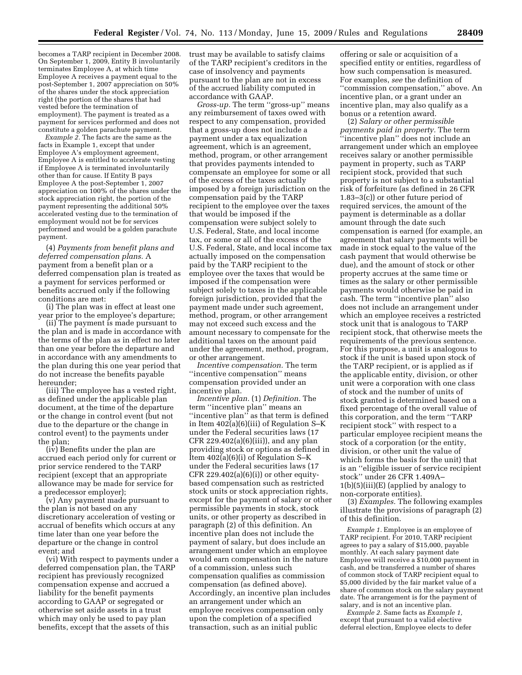becomes a TARP recipient in December 2008. On September 1, 2009, Entity B involuntarily terminates Employee A, at which time Employee A receives a payment equal to the post-September 1, 2007 appreciation on 50% of the shares under the stock appreciation right (the portion of the shares that had vested before the termination of employment). The payment is treated as a payment for services performed and does not constitute a golden parachute payment.

*Example 2.* The facts are the same as the facts in Example 1, except that under Employee A's employment agreement, Employee A is entitled to accelerate vesting if Employee A is terminated involuntarily other than for cause. If Entity B pays Employee A the post-September 1, 2007 appreciation on 100% of the shares under the stock appreciation right, the portion of the payment representing the additional 50% accelerated vesting due to the termination of employment would not be for services performed and would be a golden parachute payment.

(4) *Payments from benefit plans and deferred compensation plans.* A payment from a benefit plan or a deferred compensation plan is treated as a payment for services performed or benefits accrued only if the following conditions are met:

(i) The plan was in effect at least one year prior to the employee's departure;

(ii) The payment is made pursuant to the plan and is made in accordance with the terms of the plan as in effect no later than one year before the departure and in accordance with any amendments to the plan during this one year period that do not increase the benefits payable hereunder;

(iii) The employee has a vested right, as defined under the applicable plan document, at the time of the departure or the change in control event (but not due to the departure or the change in control event) to the payments under the plan;

(iv) Benefits under the plan are accrued each period only for current or prior service rendered to the TARP recipient (except that an appropriate allowance may be made for service for a predecessor employer);

(v) Any payment made pursuant to the plan is not based on any discretionary acceleration of vesting or accrual of benefits which occurs at any time later than one year before the departure or the change in control event; and

(vi) With respect to payments under a deferred compensation plan, the TARP recipient has previously recognized compensation expense and accrued a liability for the benefit payments according to GAAP or segregated or otherwise set aside assets in a trust which may only be used to pay plan benefits, except that the assets of this

trust may be available to satisfy claims of the TARP recipient's creditors in the case of insolvency and payments pursuant to the plan are not in excess of the accrued liability computed in accordance with GAAP.

*Gross-up.* The term ''gross-up'' means any reimbursement of taxes owed with respect to any compensation, provided that a gross-up does not include a payment under a tax equalization agreement, which is an agreement, method, program, or other arrangement that provides payments intended to compensate an employee for some or all of the excess of the taxes actually imposed by a foreign jurisdiction on the compensation paid by the TARP recipient to the employee over the taxes that would be imposed if the compensation were subject solely to U.S. Federal, State, and local income tax, or some or all of the excess of the U.S. Federal, State, and local income tax actually imposed on the compensation paid by the TARP recipient to the employee over the taxes that would be imposed if the compensation were subject solely to taxes in the applicable foreign jurisdiction, provided that the payment made under such agreement, method, program, or other arrangement may not exceed such excess and the amount necessary to compensate for the additional taxes on the amount paid under the agreement, method, program, or other arrangement.

*Incentive compensation.* The term ''incentive compensation'' means compensation provided under an incentive plan.

*Incentive plan.* (1) *Definition.* The term ''incentive plan'' means an ''incentive plan'' as that term is defined in Item 402(a)(6)(iii) of Regulation S–K under the Federal securities laws (17 CFR 229.402(a)(6)(iii)), and any plan providing stock or options as defined in Item 402(a)(6)(i) of Regulation S–K under the Federal securities laws (17 CFR  $229.402(a)(6)(i)$  or other equitybased compensation such as restricted stock units or stock appreciation rights, except for the payment of salary or other permissible payments in stock, stock units, or other property as described in paragraph (2) of this definition. An incentive plan does not include the payment of salary, but does include an arrangement under which an employee would earn compensation in the nature of a commission, unless such compensation qualifies as commission compensation (as defined above). Accordingly, an incentive plan includes an arrangement under which an employee receives compensation only upon the completion of a specified transaction, such as an initial public

offering or sale or acquisition of a specified entity or entities, regardless of how such compensation is measured. For examples, *see* the definition of ''commission compensation,'' above. An incentive plan, or a grant under an incentive plan, may also qualify as a bonus or a retention award.

(2) *Salary or other permissible payments paid in property.* The term ''incentive plan'' does not include an arrangement under which an employee receives salary or another permissible payment in property, such as TARP recipient stock, provided that such property is not subject to a substantial risk of forfeiture (as defined in 26 CFR 1.83–3(c)) or other future period of required services, the amount of the payment is determinable as a dollar amount through the date such compensation is earned (for example, an agreement that salary payments will be made in stock equal to the value of the cash payment that would otherwise be due), and the amount of stock or other property accrues at the same time or times as the salary or other permissible payments would otherwise be paid in cash. The term ''incentive plan'' also does not include an arrangement under which an employee receives a restricted stock unit that is analogous to TARP recipient stock, that otherwise meets the requirements of the previous sentence. For this purpose, a unit is analogous to stock if the unit is based upon stock of the TARP recipient, or is applied as if the applicable entity, division, or other unit were a corporation with one class of stock and the number of units of stock granted is determined based on a fixed percentage of the overall value of this corporation, and the term ''TARP recipient stock'' with respect to a particular employee recipient means the stock of a corporation (or the entity, division, or other unit the value of which forms the basis for the unit) that is an ''eligible issuer of service recipient stock'' under 26 CFR 1.409A– 1(b)(5)(iii)(E) (applied by analogy to non-corporate entities).

(3) *Examples.* The following examples illustrate the provisions of paragraph (2) of this definition.

*Example 1.* Employee is an employee of TARP recipient. For 2010, TARP recipient agrees to pay a salary of \$15,000, payable monthly. At each salary payment date Employee will receive a \$10,000 payment in cash, and be transferred a number of shares of common stock of TARP recipient equal to \$5,000 divided by the fair market value of a share of common stock on the salary payment date. The arrangement is for the payment of salary, and is not an incentive plan.

*Example 2.* Same facts as *Example 1,*  except that pursuant to a valid elective deferral election, Employee elects to defer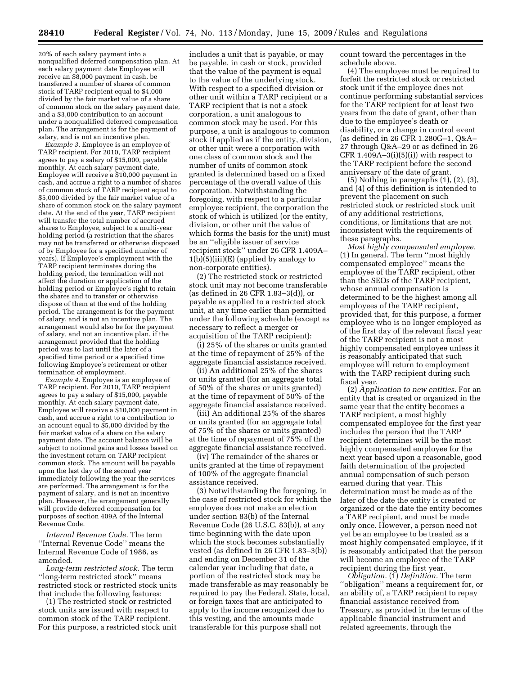20% of each salary payment into a nonqualified deferred compensation plan. At each salary payment date Employee will receive an \$8,000 payment in cash, be transferred a number of shares of common stock of TARP recipient equal to \$4,000 divided by the fair market value of a share of common stock on the salary payment date, and a \$3,000 contribution to an account under a nonqualified deferred compensation plan. The arrangement is for the payment of salary, and is not an incentive plan.

*Example 3.* Employee is an employee of TARP recipient. For 2010, TARP recipient agrees to pay a salary of \$15,000, payable monthly. At each salary payment date, Employee will receive a \$10,000 payment in cash, and accrue a right to a number of shares of common stock of TARP recipient equal to \$5,000 divided by the fair market value of a share of common stock on the salary payment date. At the end of the year, TARP recipient will transfer the total number of accrued shares to Employee, subject to a multi-year holding period (a restriction that the shares may not be transferred or otherwise disposed of by Employee for a specified number of years). If Employee's employment with the TARP recipient terminates during the holding period, the termination will not affect the duration or application of the holding period or Employee's right to retain the shares and to transfer or otherwise dispose of them at the end of the holding period. The arrangement is for the payment of salary, and is not an incentive plan. The arrangement would also be for the payment of salary, and not an incentive plan, if the arrangement provided that the holding period was to last until the later of a specified time period or a specified time following Employee's retirement or other termination of employment.

*Example 4.* Employee is an employee of TARP recipient. For 2010, TARP recipient agrees to pay a salary of \$15,000, payable monthly. At each salary payment date, Employee will receive a \$10,000 payment in cash, and accrue a right to a contribution to an account equal to \$5,000 divided by the fair market value of a share on the salary payment date. The account balance will be subject to notional gains and losses based on the investment return on TARP recipient common stock. The amount will be payable upon the last day of the second year immediately following the year the services are performed. The arrangement is for the payment of salary, and is not an incentive plan. However, the arrangement generally will provide deferred compensation for purposes of section 409A of the Internal Revenue Code.

*Internal Revenue Code.* The term ''Internal Revenue Code'' means the Internal Revenue Code of 1986, as amended.

*Long-term restricted stock.* The term ''long-term restricted stock'' means restricted stock or restricted stock units that include the following features:

(1) The restricted stock or restricted stock units are issued with respect to common stock of the TARP recipient. For this purpose, a restricted stock unit

includes a unit that is payable, or may be payable, in cash or stock, provided that the value of the payment is equal to the value of the underlying stock. With respect to a specified division or other unit within a TARP recipient or a TARP recipient that is not a stock corporation, a unit analogous to common stock may be used. For this purpose, a unit is analogous to common stock if applied as if the entity, division, or other unit were a corporation with one class of common stock and the number of units of common stock granted is determined based on a fixed percentage of the overall value of this corporation. Notwithstanding the foregoing, with respect to a particular employee recipient, the corporation the stock of which is utilized (or the entity, division, or other unit the value of which forms the basis for the unit) must be an ''eligible issuer of service recipient stock'' under 26 CFR 1.409A–  $1(b)(5)(iii)(E)$  (applied by analogy to non-corporate entities).

(2) The restricted stock or restricted stock unit may not become transferable (as defined in 26 CFR 1.83–3(d)), or payable as applied to a restricted stock unit, at any time earlier than permitted under the following schedule (except as necessary to reflect a merger or acquisition of the TARP recipient):

(i) 25% of the shares or units granted at the time of repayment of 25% of the aggregate financial assistance received.

(ii) An additional 25% of the shares or units granted (for an aggregate total of 50% of the shares or units granted) at the time of repayment of 50% of the aggregate financial assistance received.

(iii) An additional 25% of the shares or units granted (for an aggregate total of 75% of the shares or units granted) at the time of repayment of 75% of the aggregate financial assistance received.

(iv) The remainder of the shares or units granted at the time of repayment of 100% of the aggregate financial assistance received.

(3) Notwithstanding the foregoing, in the case of restricted stock for which the employee does not make an election under section 83(b) of the Internal Revenue Code (26 U.S.C. 83(b)), at any time beginning with the date upon which the stock becomes substantially vested (as defined in 26 CFR 1.83–3(b)) and ending on December 31 of the calendar year including that date, a portion of the restricted stock may be made transferable as may reasonably be required to pay the Federal, State, local, or foreign taxes that are anticipated to apply to the income recognized due to this vesting, and the amounts made transferable for this purpose shall not

count toward the percentages in the schedule above.

(4) The employee must be required to forfeit the restricted stock or restricted stock unit if the employee does not continue performing substantial services for the TARP recipient for at least two years from the date of grant, other than due to the employee's death or disability, or a change in control event (as defined in 26 CFR 1.280G–1, Q&A– 27 through Q&A–29 or as defined in 26 CFR  $1.409A-3(i)(5)(i)$  with respect to the TARP recipient before the second anniversary of the date of grant.

(5) Nothing in paragraphs (1), (2), (3), and (4) of this definition is intended to prevent the placement on such restricted stock or restricted stock unit of any additional restrictions, conditions, or limitations that are not inconsistent with the requirements of these paragraphs.

*Most highly compensated employee.*  (1) In general. The term ''most highly compensated employee'' means the employee of the TARP recipient, other than the SEOs of the TARP recipient, whose annual compensation is determined to be the highest among all employees of the TARP recipient, provided that, for this purpose, a former employee who is no longer employed as of the first day of the relevant fiscal year of the TARP recipient is not a most highly compensated employee unless it is reasonably anticipated that such employee will return to employment with the TARP recipient during such fiscal year.

(2) *Application to new entities.* For an entity that is created or organized in the same year that the entity becomes a TARP recipient, a most highly compensated employee for the first year includes the person that the TARP recipient determines will be the most highly compensated employee for the next year based upon a reasonable, good faith determination of the projected annual compensation of such person earned during that year. This determination must be made as of the later of the date the entity is created or organized or the date the entity becomes a TARP recipient, and must be made only once. However, a person need not yet be an employee to be treated as a most highly compensated employee, if it is reasonably anticipated that the person will become an employee of the TARP recipient during the first year.

*Obligation.* (1) *Definition.* The term ''obligation'' means a requirement for, or an ability of, a TARP recipient to repay financial assistance received from Treasury, as provided in the terms of the applicable financial instrument and related agreements, through the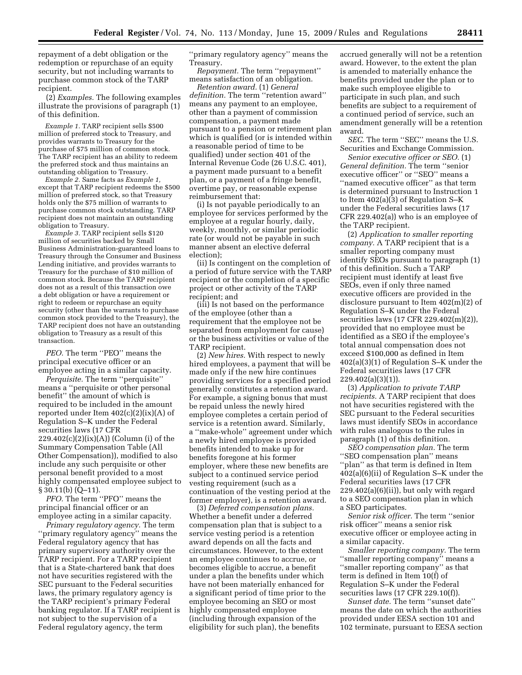repayment of a debt obligation or the redemption or repurchase of an equity security, but not including warrants to purchase common stock of the TARP recipient.

(2) *Examples.* The following examples illustrate the provisions of paragraph (1) of this definition.

*Example 1.* TARP recipient sells \$500 million of preferred stock to Treasury, and provides warrants to Treasury for the purchase of \$75 million of common stock. The TARP recipient has an ability to redeem the preferred stock and thus maintains an outstanding obligation to Treasury.

*Example 2.* Same facts as *Example 1,*  except that TARP recipient redeems the \$500 million of preferred stock, so that Treasury holds only the \$75 million of warrants to purchase common stock outstanding. TARP recipient does not maintain an outstanding obligation to Treasury.

*Example 3.* TARP recipient sells \$120 million of securities backed by Small Business Administration-guaranteed loans to Treasury through the Consumer and Business Lending initiative, and provides warrants to Treasury for the purchase of \$10 million of common stock. Because the TARP recipient does not as a result of this transaction owe a debt obligation or have a requirement or right to redeem or repurchase an equity security (other than the warrants to purchase common stock provided to the Treasury), the TARP recipient does not have an outstanding obligation to Treasury as a result of this transaction.

*PEO.* The term ''PEO'' means the principal executive officer or an employee acting in a similar capacity.

*Perquisite.* The term ''perquisite'' means a ''perquisite or other personal benefit'' the amount of which is required to be included in the amount reported under Item  $402(c)(2)(ix)(A)$  of Regulation S–K under the Federal securities laws (17 CFR  $229.402(c)(2)(ix)(A))$  (Column (i) of the Summary Compensation Table (All Other Compensation)), modified to also include any such perquisite or other personal benefit provided to a most highly compensated employee subject to  $\S 30.11(b) (Q-11).$ 

*PFO.* The term ''PFO'' means the principal financial officer or an employee acting in a similar capacity.

*Primary regulatory agency.* The term ''primary regulatory agency'' means the Federal regulatory agency that has primary supervisory authority over the TARP recipient. For a TARP recipient that is a State-chartered bank that does not have securities registered with the SEC pursuant to the Federal securities laws, the primary regulatory agency is the TARP recipient's primary Federal banking regulator. If a TARP recipient is not subject to the supervision of a Federal regulatory agency, the term

''primary regulatory agency'' means the Treasury.

*Repayment.* The term ''repayment'' means satisfaction of an obligation.

*Retention award.* (1) *General definition.* The term ''retention award'' means any payment to an employee, other than a payment of commission compensation, a payment made pursuant to a pension or retirement plan which is qualified (or is intended within a reasonable period of time to be qualified) under section 401 of the Internal Revenue Code (26 U.S.C. 401), a payment made pursuant to a benefit plan, or a payment of a fringe benefit, overtime pay, or reasonable expense reimbursement that:

(i) Is not payable periodically to an employee for services performed by the employee at a regular hourly, daily, weekly, monthly, or similar periodic rate (or would not be payable in such manner absent an elective deferral election);

(ii) Is contingent on the completion of a period of future service with the TARP recipient or the completion of a specific project or other activity of the TARP recipient; and

(iii) Is not based on the performance of the employee (other than a requirement that the employee not be separated from employment for cause) or the business activities or value of the TARP recipient.

(2) *New hires.* With respect to newly hired employees, a payment that will be made only if the new hire continues providing services for a specified period generally constitutes a retention award. For example, a signing bonus that must be repaid unless the newly hired employee completes a certain period of service is a retention award. Similarly, a ''make-whole'' agreement under which a newly hired employee is provided benefits intended to make up for benefits foregone at his former employer, where these new benefits are subject to a continued service period vesting requirement (such as a continuation of the vesting period at the former employer), is a retention award.

(3) *Deferred compensation plans.*  Whether a benefit under a deferred compensation plan that is subject to a service vesting period is a retention award depends on all the facts and circumstances. However, to the extent an employee continues to accrue, or becomes eligible to accrue, a benefit under a plan the benefits under which have not been materially enhanced for a significant period of time prior to the employee becoming an SEO or most highly compensated employee (including through expansion of the eligibility for such plan), the benefits

accrued generally will not be a retention award. However, to the extent the plan is amended to materially enhance the benefits provided under the plan or to make such employee eligible to participate in such plan, and such benefits are subject to a requirement of a continued period of service, such an amendment generally will be a retention award.

*SEC.* The term ''SEC'' means the U.S. Securities and Exchange Commission.

*Senior executive officer or SEO.* (1) *General definition.* The term ''senior executive officer'' or ''SEO'' means a ''named executive officer'' as that term is determined pursuant to Instruction 1 to Item 402(a)(3) of Regulation S–K under the Federal securities laws (17 CFR 229.402(a)) who is an employee of the TARP recipient.

(2) *Application to smaller reporting company.* A TARP recipient that is a smaller reporting company must identify SEOs pursuant to paragraph (1) of this definition. Such a TARP recipient must identify at least five SEOs, even if only three named executive officers are provided in the disclosure pursuant to Item 402(m)(2) of Regulation S–K under the Federal securities laws (17 CFR 229.402(m)(2)), provided that no employee must be identified as a SEO if the employee's total annual compensation does not exceed \$100,000 as defined in Item 402(a)(3)(1) of Regulation S–K under the Federal securities laws (17 CFR  $229.402(a)(3)(1)$ ).

(3) *Application to private TARP recipients.* A TARP recipient that does not have securities registered with the SEC pursuant to the Federal securities laws must identify SEOs in accordance with rules analogous to the rules in paragraph (1) of this definition.

*SEO compensation plan.* The term ''SEO compensation plan'' means ''plan'' as that term is defined in Item 402(a)(6)(ii) of Regulation S–K under the Federal securities laws (17 CFR 229.402(a)(6)(ii)), but only with regard to a SEO compensation plan in which a SEO participates.

*Senior risk officer.* The term ''senior risk officer'' means a senior risk executive officer or employee acting in a similar capacity.

*Smaller reporting company.* The term ''smaller reporting company'' means a ''smaller reporting company'' as that term is defined in Item 10(f) of Regulation S–K under the Federal securities laws (17 CFR 229.10(f)).

*Sunset date.* The term ''sunset date'' means the date on which the authorities provided under EESA section 101 and 102 terminate, pursuant to EESA section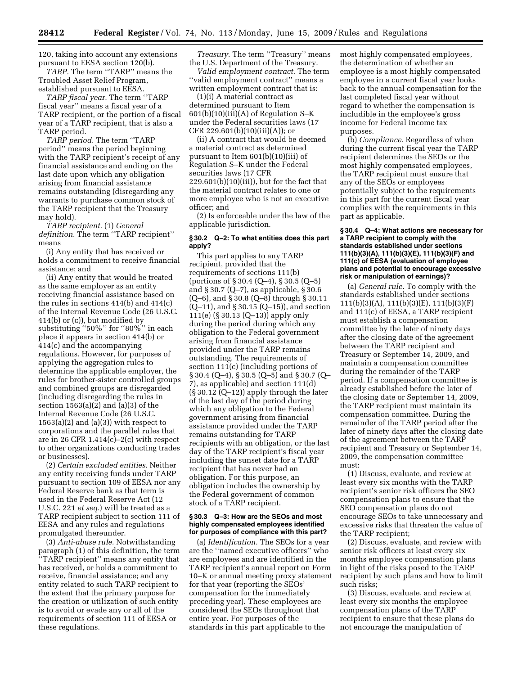120, taking into account any extensions pursuant to EESA section 120(b).

*TARP.* The term ''TARP'' means the Troubled Asset Relief Program, established pursuant to EESA.

*TARP fiscal year.* The term ''TARP fiscal year'' means a fiscal year of a TARP recipient, or the portion of a fiscal year of a TARP recipient, that is also a TARP period.

*TARP period.* The term ''TARP period'' means the period beginning with the TARP recipient's receipt of any financial assistance and ending on the last date upon which any obligation arising from financial assistance remains outstanding (disregarding any warrants to purchase common stock of the TARP recipient that the Treasury may hold).

*TARP recipient.* (1) *General definition.* The term ''TARP recipient'' means

(i) Any entity that has received or holds a commitment to receive financial assistance; and

(ii) Any entity that would be treated as the same employer as an entity receiving financial assistance based on the rules in sections 414(b) and 414(c) of the Internal Revenue Code (26 U.S.C. 414(b) or (c)), but modified by substituting ''50%'' for ''80%'' in each place it appears in section 414(b) or 414(c) and the accompanying regulations. However, for purposes of applying the aggregation rules to determine the applicable employer, the rules for brother-sister controlled groups and combined groups are disregarded (including disregarding the rules in section  $1563(a)(\overline{2})$  and  $\overline{a}()(3)$  of the Internal Revenue Code (26 U.S.C.  $1563(a)(2)$  and  $(a)(3)$ ) with respect to corporations and the parallel rules that are in 26 CFR 1.414(c)–2(c) with respect to other organizations conducting trades or businesses).

(2) *Certain excluded entities.* Neither any entity receiving funds under TARP pursuant to section 109 of EESA nor any Federal Reserve bank as that term is used in the Federal Reserve Act (12 U.S.C. 221 *et seq.*) will be treated as a TARP recipient subject to section 111 of EESA and any rules and regulations promulgated thereunder.

(3) *Anti-abuse rule.* Notwithstanding paragraph (1) of this definition, the term ''TARP recipient'' means any entity that has received, or holds a commitment to receive, financial assistance; and any entity related to such TARP recipient to the extent that the primary purpose for the creation or utilization of such entity is to avoid or evade any or all of the requirements of section 111 of EESA or these regulations.

*Treasury.* The term ''Treasury'' means the U.S. Department of the Treasury.

*Valid employment contract.* The term ''valid employment contract'' means a written employment contract that is:

(1)(i) A material contract as determined pursuant to Item  $601(b)(10)(iii)(A)$  of Regulation S–K under the Federal securities laws (17 CFR 229.601(b)(10)(iii)(A)); or

(ii) A contract that would be deemed a material contract as determined pursuant to Item 601(b)(10)(iii) of Regulation S–K under the Federal securities laws (17 CFR  $229.601(b)(10)(iii)$ , but for the fact that the material contract relates to one or more employee who is not an executive officer; and

(2) Is enforceable under the law of the applicable jurisdiction.

#### **§ 30.2 Q–2: To what entities does this part apply?**

This part applies to any TARP recipient, provided that the requirements of sections 111(b) (portions of § 30.4 (Q–4), § 30.5 (Q–5) and § 30.7 (Q–7), as applicable, § 30.6 (Q–6), and § 30.8 (Q–8) through § 30.11 (Q–11), and § 30.15 (Q–15)), and section 111(e) (§ 30.13 (Q–13)) apply only during the period during which any obligation to the Federal government arising from financial assistance provided under the TARP remains outstanding. The requirements of section 111(c) (including portions of § 30.4 (Q–4), § 30.5 (Q–5) and § 30.7 (Q– 7), as applicable) and section 111(d) (§ 30.12 (Q–12)) apply through the later of the last day of the period during which any obligation to the Federal government arising from financial assistance provided under the TARP remains outstanding for TARP recipients with an obligation, or the last day of the TARP recipient's fiscal year including the sunset date for a TARP recipient that has never had an obligation. For this purpose, an obligation includes the ownership by the Federal government of common stock of a TARP recipient.

#### **§ 30.3 Q–3: How are the SEOs and most highly compensated employees identified for purposes of compliance with this part?**

(a) *Identification.* The SEOs for a year are the ''named executive officers'' who are employees and are identified in the TARP recipient's annual report on Form 10–K or annual meeting proxy statement for that year (reporting the SEOs' compensation for the immediately preceding year). These employees are considered the SEOs throughout that entire year. For purposes of the standards in this part applicable to the

most highly compensated employees, the determination of whether an employee is a most highly compensated employee in a current fiscal year looks back to the annual compensation for the last completed fiscal year without regard to whether the compensation is includible in the employee's gross income for Federal income tax purposes.

(b) *Compliance.* Regardless of when during the current fiscal year the TARP recipient determines the SEOs or the most highly compensated employees, the TARP recipient must ensure that any of the SEOs or employees potentially subject to the requirements in this part for the current fiscal year complies with the requirements in this part as applicable.

#### **§ 30.4 Q–4: What actions are necessary for a TARP recipient to comply with the standards established under sections 111(b)(3)(A), 111(b)(3)(E), 111(b)(3)(F) and 111(c) of EESA (evaluation of employee plans and potential to encourage excessive risk or manipulation of earnings)?**

(a) *General rule.* To comply with the standards established under sections 111(b)(3)(A), 111(b)(3)(E), 111(b)(3)(F) and 111(c) of EESA, a TARP recipient must establish a compensation committee by the later of ninety days after the closing date of the agreement between the TARP recipient and Treasury or September 14, 2009, and maintain a compensation committee during the remainder of the TARP period. If a compensation committee is already established before the later of the closing date or September 14, 2009, the TARP recipient must maintain its compensation committee. During the remainder of the TARP period after the later of ninety days after the closing date of the agreement between the TARP recipient and Treasury or September 14, 2009, the compensation committee must:

(1) Discuss, evaluate, and review at least every six months with the TARP recipient's senior risk officers the SEO compensation plans to ensure that the SEO compensation plans do not encourage SEOs to take unnecessary and excessive risks that threaten the value of the TARP recipient;

(2) Discuss, evaluate, and review with senior risk officers at least every six months employee compensation plans in light of the risks posed to the TARP recipient by such plans and how to limit such risks;

(3) Discuss, evaluate, and review at least every six months the employee compensation plans of the TARP recipient to ensure that these plans do not encourage the manipulation of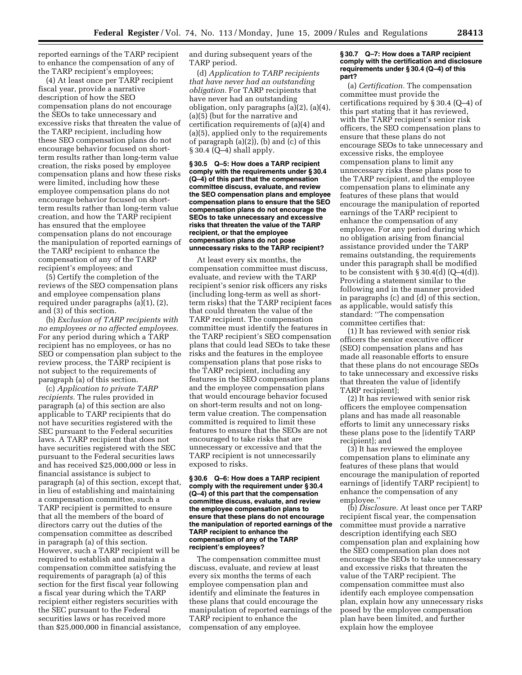reported earnings of the TARP recipient to enhance the compensation of any of the TARP recipient's employees;

(4) At least once per TARP recipient fiscal year, provide a narrative description of how the SEO compensation plans do not encourage the SEOs to take unnecessary and excessive risks that threaten the value of the TARP recipient, including how these SEO compensation plans do not encourage behavior focused on shortterm results rather than long-term value creation, the risks posed by employee compensation plans and how these risks were limited, including how these employee compensation plans do not encourage behavior focused on shortterm results rather than long-term value creation, and how the TARP recipient has ensured that the employee compensation plans do not encourage the manipulation of reported earnings of the TARP recipient to enhance the compensation of any of the TARP recipient's employees; and

(5) Certify the completion of the reviews of the SEO compensation plans and employee compensation plans required under paragraphs (a)(1), (2), and (3) of this section.

(b) *Exclusion of TARP recipients with no employees or no affected employees.*  For any period during which a TARP recipient has no employees, or has no SEO or compensation plan subject to the review process, the TARP recipient is not subject to the requirements of paragraph (a) of this section.

(c) *Application to private TARP recipients.* The rules provided in paragraph (a) of this section are also applicable to TARP recipients that do not have securities registered with the SEC pursuant to the Federal securities laws. A TARP recipient that does not have securities registered with the SEC pursuant to the Federal securities laws and has received \$25,000,000 or less in financial assistance is subject to paragraph (a) of this section, except that, in lieu of establishing and maintaining a compensation committee, such a TARP recipient is permitted to ensure that all the members of the board of directors carry out the duties of the compensation committee as described in paragraph (a) of this section. However, such a TARP recipient will be required to establish and maintain a compensation committee satisfying the requirements of paragraph (a) of this section for the first fiscal year following a fiscal year during which the TARP recipient either registers securities with the SEC pursuant to the Federal securities laws or has received more than \$25,000,000 in financial assistance, and during subsequent years of the TARP period.

(d) *Application to TARP recipients that have never had an outstanding obligation.* For TARP recipients that have never had an outstanding obligation, only paragraphs (a)(2), (a)(4), (a)(5) (but for the narrative and certification requirements of (a)(4) and (a)(5), applied only to the requirements of paragraph (a)(2)), (b) and (c) of this § 30.4 (Q–4) shall apply.

**§ 30.5 Q–5: How does a TARP recipient comply with the requirements under § 30.4 (Q–4) of this part that the compensation committee discuss, evaluate, and review the SEO compensation plans and employee compensation plans to ensure that the SEO compensation plans do not encourage the SEOs to take unnecessary and excessive risks that threaten the value of the TARP recipient, or that the employee compensation plans do not pose unnecessary risks to the TARP recipient?** 

At least every six months, the compensation committee must discuss, evaluate, and review with the TARP recipient's senior risk officers any risks (including long-term as well as shortterm risks) that the TARP recipient faces that could threaten the value of the TARP recipient. The compensation committee must identify the features in the TARP recipient's SEO compensation plans that could lead SEOs to take these risks and the features in the employee compensation plans that pose risks to the TARP recipient, including any features in the SEO compensation plans and the employee compensation plans that would encourage behavior focused on short-term results and not on longterm value creation. The compensation committed is required to limit these features to ensure that the SEOs are not encouraged to take risks that are unnecessary or excessive and that the TARP recipient is not unnecessarily exposed to risks.

#### **§ 30.6 Q–6: How does a TARP recipient comply with the requirement under § 30.4 (Q–4) of this part that the compensation committee discuss, evaluate, and review the employee compensation plans to ensure that these plans do not encourage the manipulation of reported earnings of the TARP recipient to enhance the compensation of any of the TARP recipient's employees?**

The compensation committee must discuss, evaluate, and review at least every six months the terms of each employee compensation plan and identify and eliminate the features in these plans that could encourage the manipulation of reported earnings of the TARP recipient to enhance the compensation of any employee.

#### **§ 30.7 Q–7: How does a TARP recipient comply with the certification and disclosure requirements under § 30.4 (Q–4) of this part?**

(a) *Certification.* The compensation committee must provide the certifications required by § 30.4 (Q–4) of this part stating that it has reviewed, with the TARP recipient's senior risk officers, the SEO compensation plans to ensure that these plans do not encourage SEOs to take unnecessary and excessive risks, the employee compensation plans to limit any unnecessary risks these plans pose to the TARP recipient, and the employee compensation plans to eliminate any features of these plans that would encourage the manipulation of reported earnings of the TARP recipient to enhance the compensation of any employee. For any period during which no obligation arising from financial assistance provided under the TARP remains outstanding, the requirements under this paragraph shall be modified to be consistent with  $\S 30.4(d)$  (Q–4(d)). Providing a statement similar to the following and in the manner provided in paragraphs (c) and (d) of this section, as applicable, would satisfy this standard: ''The compensation committee certifies that:

(1) It has reviewed with senior risk officers the senior executive officer (SEO) compensation plans and has made all reasonable efforts to ensure that these plans do not encourage SEOs to take unnecessary and excessive risks that threaten the value of [identify TARP recipient];

(2) It has reviewed with senior risk officers the employee compensation plans and has made all reasonable efforts to limit any unnecessary risks these plans pose to the [identify TARP recipient]; and

(3) It has reviewed the employee compensation plans to eliminate any features of these plans that would encourage the manipulation of reported earnings of [identify TARP recipient] to enhance the compensation of any employee.''

(b) *Disclosure.* At least once per TARP recipient fiscal year, the compensation committee must provide a narrative description identifying each SEO compensation plan and explaining how the SEO compensation plan does not encourage the SEOs to take unnecessary and excessive risks that threaten the value of the TARP recipient. The compensation committee must also identify each employee compensation plan, explain how any unnecessary risks posed by the employee compensation plan have been limited, and further explain how the employee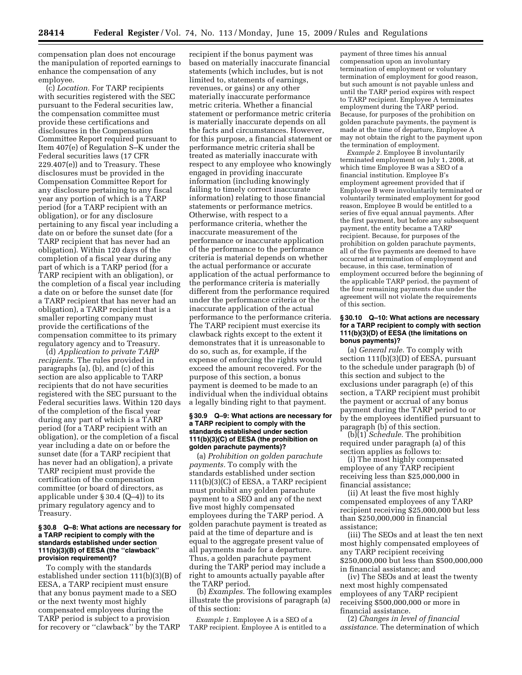compensation plan does not encourage the manipulation of reported earnings to enhance the compensation of any employee.

(c) *Location.* For TARP recipients with securities registered with the SEC pursuant to the Federal securities law, the compensation committee must provide these certifications and disclosures in the Compensation Committee Report required pursuant to Item 407(e) of Regulation S–K under the Federal securities laws (17 CFR 229.407(e)) and to Treasury. These disclosures must be provided in the Compensation Committee Report for any disclosure pertaining to any fiscal year any portion of which is a TARP period (for a TARP recipient with an obligation), or for any disclosure pertaining to any fiscal year including a date on or before the sunset date (for a TARP recipient that has never had an obligation). Within 120 days of the completion of a fiscal year during any part of which is a TARP period (for a TARP recipient with an obligation), or the completion of a fiscal year including a date on or before the sunset date (for a TARP recipient that has never had an obligation), a TARP recipient that is a smaller reporting company must provide the certifications of the compensation committee to its primary regulatory agency and to Treasury.

(d) *Application to private TARP recipients.* The rules provided in paragraphs (a), (b), and (c) of this section are also applicable to TARP recipients that do not have securities registered with the SEC pursuant to the Federal securities laws. Within 120 days of the completion of the fiscal year during any part of which is a TARP period (for a TARP recipient with an obligation), or the completion of a fiscal year including a date on or before the sunset date (for a TARP recipient that has never had an obligation), a private TARP recipient must provide the certification of the compensation committee (or board of directors, as applicable under  $\S 30.4 (Q-4)$  to its primary regulatory agency and to Treasury.

#### **§ 30.8 Q–8: What actions are necessary for a TARP recipient to comply with the standards established under section 111(b)(3)(B) of EESA (the ''clawback'' provision requirement)?**

To comply with the standards established under section 111(b)(3)(B) of EESA, a TARP recipient must ensure that any bonus payment made to a SEO or the next twenty most highly compensated employees during the TARP period is subject to a provision for recovery or ''clawback'' by the TARP

recipient if the bonus payment was based on materially inaccurate financial statements (which includes, but is not limited to, statements of earnings, revenues, or gains) or any other materially inaccurate performance metric criteria. Whether a financial statement or performance metric criteria is materially inaccurate depends on all the facts and circumstances. However, for this purpose, a financial statement or performance metric criteria shall be treated as materially inaccurate with respect to any employee who knowingly engaged in providing inaccurate information (including knowingly failing to timely correct inaccurate information) relating to those financial statements or performance metrics. Otherwise, with respect to a performance criteria, whether the inaccurate measurement of the performance or inaccurate application of the performance to the performance criteria is material depends on whether the actual performance or accurate application of the actual performance to the performance criteria is materially different from the performance required under the performance criteria or the inaccurate application of the actual performance to the performance criteria. The TARP recipient must exercise its clawback rights except to the extent it demonstrates that it is unreasonable to do so, such as, for example, if the expense of enforcing the rights would exceed the amount recovered. For the purpose of this section, a bonus payment is deemed to be made to an individual when the individual obtains a legally binding right to that payment.

#### **§ 30.9 Q–9: What actions are necessary for a TARP recipient to comply with the standards established under section 111(b)(3)(C) of EESA (the prohibition on golden parachute payments)?**

(a) *Prohibition on golden parachute payments.* To comply with the standards established under section 111(b)(3)(C) of EESA, a TARP recipient must prohibit any golden parachute payment to a SEO and any of the next five most highly compensated employees during the TARP period. A golden parachute payment is treated as paid at the time of departure and is equal to the aggregate present value of all payments made for a departure. Thus, a golden parachute payment during the TARP period may include a right to amounts actually payable after the TARP period.

(b) *Examples.* The following examples illustrate the provisions of paragraph (a) of this section:

*Example 1.* Employee A is a SEO of a TARP recipient. Employee A is entitled to a

payment of three times his annual compensation upon an involuntary termination of employment or voluntary termination of employment for good reason, but such amount is not payable unless and until the TARP period expires with respect to TARP recipient. Employee A terminates employment during the TARP period. Because, for purposes of the prohibition on golden parachute payments, the payment is made at the time of departure, Employee A may not obtain the right to the payment upon the termination of employment.

*Example 2.* Employee B involuntarily terminated employment on July 1, 2008, at which time Employee B was a SEO of a financial institution. Employee B's employment agreement provided that if Employee B were involuntarily terminated or voluntarily terminated employment for good reason, Employee B would be entitled to a series of five equal annual payments. After the first payment, but before any subsequent payment, the entity became a TARP recipient. Because, for purposes of the prohibition on golden parachute payments, all of the five payments are deemed to have occurred at termination of employment and because, in this case, termination of employment occurred before the beginning of the applicable TARP period, the payment of the four remaining payments due under the agreement will not violate the requirements of this section.

#### **§ 30.10 Q–10: What actions are necessary for a TARP recipient to comply with section 111(b)(3)(D) of EESA (the limitations on bonus payments)?**

(a) *General rule.* To comply with section 111(b)(3)(D) of EESA, pursuant to the schedule under paragraph (b) of this section and subject to the exclusions under paragraph (e) of this section, a TARP recipient must prohibit the payment or accrual of any bonus payment during the TARP period to or by the employees identified pursuant to paragraph (b) of this section.

(b)(1) *Schedule.* The prohibition required under paragraph (a) of this section applies as follows to:

(i) The most highly compensated employee of any TARP recipient receiving less than \$25,000,000 in financial assistance;

(ii) At least the five most highly compensated employees of any TARP recipient receiving \$25,000,000 but less than \$250,000,000 in financial assistance;

(iii) The SEOs and at least the ten next most highly compensated employees of any TARP recipient receiving \$250,000,000 but less than \$500,000,000 in financial assistance; and

(iv) The SEOs and at least the twenty next most highly compensated employees of any TARP recipient receiving \$500,000,000 or more in financial assistance.

(2) *Changes in level of financial assistance.* The determination of which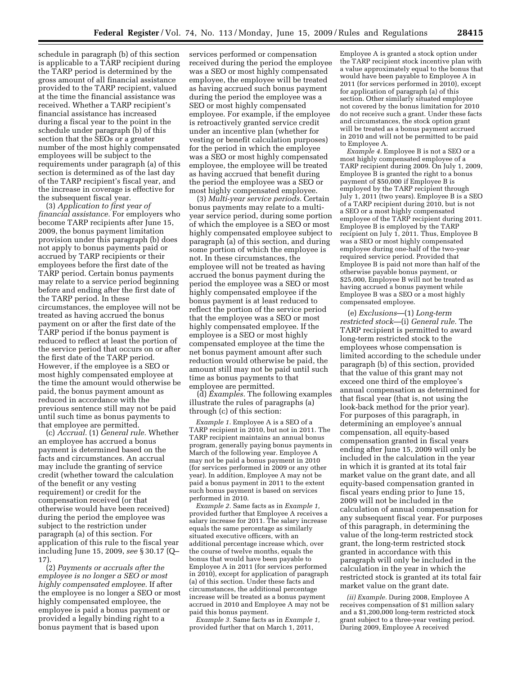schedule in paragraph (b) of this section is applicable to a TARP recipient during the TARP period is determined by the gross amount of all financial assistance provided to the TARP recipient, valued at the time the financial assistance was received. Whether a TARP recipient's financial assistance has increased during a fiscal year to the point in the schedule under paragraph (b) of this section that the SEOs or a greater number of the most highly compensated employees will be subject to the requirements under paragraph (a) of this section is determined as of the last day of the TARP recipient's fiscal year, and the increase in coverage is effective for the subsequent fiscal year.

(3) *Application to first year of financial assistance.* For employers who become TARP recipients after June 15, 2009, the bonus payment limitation provision under this paragraph (b) does not apply to bonus payments paid or accrued by TARP recipients or their employees before the first date of the TARP period. Certain bonus payments may relate to a service period beginning before and ending after the first date of the TARP period. In these circumstances, the employee will not be treated as having accrued the bonus payment on or after the first date of the TARP period if the bonus payment is reduced to reflect at least the portion of the service period that occurs on or after the first date of the TARP period. However, if the employee is a SEO or most highly compensated employee at the time the amount would otherwise be paid, the bonus payment amount as reduced in accordance with the previous sentence still may not be paid until such time as bonus payments to that employee are permitted.

(c) *Accrual.* (1) *General rule.* Whether an employee has accrued a bonus payment is determined based on the facts and circumstances. An accrual may include the granting of service credit (whether toward the calculation of the benefit or any vesting requirement) or credit for the compensation received (or that otherwise would have been received) during the period the employee was subject to the restriction under paragraph (a) of this section. For application of this rule to the fiscal year including June 15, 2009, *see* § 30.17 (Q– 17).

(2) *Payments or accruals after the employee is no longer a SEO or most highly compensated employee.* If after the employee is no longer a SEO or most highly compensated employee, the employee is paid a bonus payment or provided a legally binding right to a bonus payment that is based upon

services performed or compensation received during the period the employee was a SEO or most highly compensated employee, the employee will be treated as having accrued such bonus payment during the period the employee was a SEO or most highly compensated employee. For example, if the employee is retroactively granted service credit under an incentive plan (whether for vesting or benefit calculation purposes) for the period in which the employee was a SEO or most highly compensated employee, the employee will be treated as having accrued that benefit during the period the employee was a SEO or most highly compensated employee.

(3) *Multi-year service periods.* Certain bonus payments may relate to a multiyear service period, during some portion of which the employee is a SEO or most highly compensated employee subject to paragraph (a) of this section, and during some portion of which the employee is not. In these circumstances, the employee will not be treated as having accrued the bonus payment during the period the employee was a SEO or most highly compensated employee if the bonus payment is at least reduced to reflect the portion of the service period that the employee was a SEO or most highly compensated employee. If the employee is a SEO or most highly compensated employee at the time the net bonus payment amount after such reduction would otherwise be paid, the amount still may not be paid until such time as bonus payments to that employee are permitted.

(d) *Examples.* The following examples illustrate the rules of paragraphs (a) through (c) of this section:

*Example 1.* Employee A is a SEO of a TARP recipient in 2010, but not in 2011. The TARP recipient maintains an annual bonus program, generally paying bonus payments in March of the following year. Employee A may not be paid a bonus payment in 2010 (for services performed in 2009 or any other year). In addition, Employee A may not be paid a bonus payment in 2011 to the extent such bonus payment is based on services performed in 2010.

*Example 2.* Same facts as in *Example 1,*  provided further that Employee A receives a salary increase for 2011. The salary increase equals the same percentage as similarly situated executive officers, with an additional percentage increase which, over the course of twelve months, equals the bonus that would have been payable to Employee A in 2011 (for services performed in 2010), except for application of paragraph (a) of this section. Under these facts and circumstances, the additional percentage increase will be treated as a bonus payment accrued in 2010 and Employee A may not be paid this bonus payment.

*Example 3.* Same facts as in *Example 1,*  provided further that on March 1, 2011,

Employee A is granted a stock option under the TARP recipient stock incentive plan with a value approximately equal to the bonus that would have been payable to Employee A in 2011 (for services performed in 2010), except for application of paragraph (a) of this section. Other similarly situated employee not covered by the bonus limitation for 2010 do not receive such a grant. Under these facts and circumstances, the stock option grant will be treated as a bonus payment accrued in 2010 and will not be permitted to be paid to Employee A.

*Example 4.* Employee B is not a SEO or a most highly compensated employee of a TARP recipient during 2009. On July 1, 2009, Employee B is granted the right to a bonus payment of \$50,000 if Employee B is employed by the TARP recipient through July 1, 2011 (two years). Employee B is a SEO of a TARP recipient during 2010, but is not a SEO or a most highly compensated employee of the TARP recipient during 2011. Employee B is employed by the TARP recipient on July 1, 2011. Thus, Employee B was a SEO or most highly compensated employee during one-half of the two-year required service period. Provided that Employee B is paid not more than half of the otherwise payable bonus payment, or \$25,000, Employee B will not be treated as having accrued a bonus payment while Employee B was a SEO or a most highly compensated employee.

(e) *Exclusions*—(1) *Long-term restricted stock*—(i) *General rule.* The TARP recipient is permitted to award long-term restricted stock to the employees whose compensation is limited according to the schedule under paragraph (b) of this section, provided that the value of this grant may not exceed one third of the employee's annual compensation as determined for that fiscal year (that is, not using the look-back method for the prior year). For purposes of this paragraph, in determining an employee's annual compensation, all equity-based compensation granted in fiscal years ending after June 15, 2009 will only be included in the calculation in the year in which it is granted at its total fair market value on the grant date, and all equity-based compensation granted in fiscal years ending prior to June 15, 2009 will not be included in the calculation of annual compensation for any subsequent fiscal year. For purposes of this paragraph, in determining the value of the long-term restricted stock grant, the long-term restricted stock granted in accordance with this paragraph will only be included in the calculation in the year in which the restricted stock is granted at its total fair market value on the grant date.

*(ii) Example.* During 2008, Employee A receives compensation of \$1 million salary and a \$1,200,000 long-term restricted stock grant subject to a three-year vesting period. During 2009, Employee A received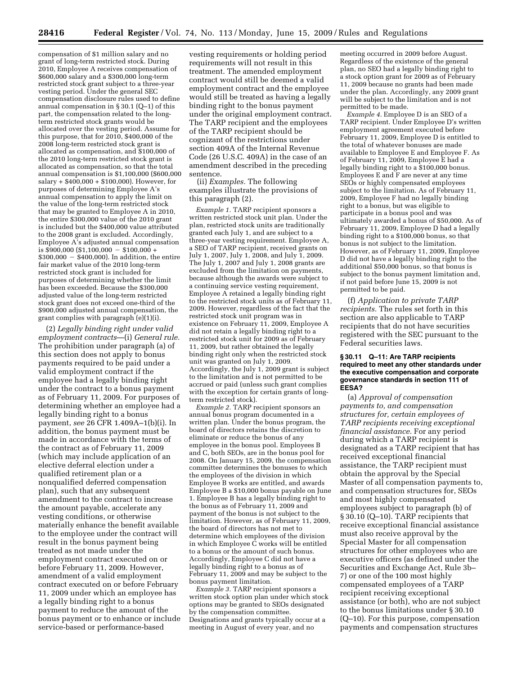compensation of \$1 million salary and no grant of long-term restricted stock. During 2010, Employee A receives compensation of \$600,000 salary and a \$300,000 long-term restricted stock grant subject to a three-year vesting period. Under the general SEC compensation disclosure rules used to define annual compensation in § 30.1 (Q–1) of this part, the compensation related to the longterm restricted stock grants would be allocated over the vesting period. Assume for this purpose, that for 2010, \$400,000 of the 2008 long-term restricted stock grant is allocated as compensation, and \$100,000 of the 2010 long-term restricted stock grant is allocated as compensation, so that the total annual compensation is \$1,100,000 (\$600,000 salary + \$400,000 + \$100,000). However, for purposes of determining Employee A's annual compensation to apply the limit on the value of the long-term restricted stock that may be granted to Employee A in 2010, the entire \$300,000 value of the 2010 grant is included but the \$400,000 value attributed to the 2008 grant is excluded. Accordingly, Employee A's adjusted annual compensation is  $$900,000$   $$1,100,000 - $100,000 +$  $$300,000 - $400,000$ . In addition, the entire fair market value of the 2010 long-term restricted stock grant is included for purposes of determining whether the limit has been exceeded. Because the \$300,000 adjusted value of the long-term restricted stock grant does not exceed one-third of the \$900,000 adjusted annual compensation, the grant complies with paragraph (e)(1)(i).

(2) *Legally binding right under valid employment contracts*—(i) *General rule.*  The prohibition under paragraph (a) of this section does not apply to bonus payments required to be paid under a valid employment contract if the employee had a legally binding right under the contract to a bonus payment as of February 11, 2009. For purposes of determining whether an employee had a legally binding right to a bonus payment, *see* 26 CFR 1.409A–1(b)(i). In addition, the bonus payment must be made in accordance with the terms of the contract as of February 11, 2009 (which may include application of an elective deferral election under a qualified retirement plan or a nonqualified deferred compensation plan), such that any subsequent amendment to the contract to increase the amount payable, accelerate any vesting conditions, or otherwise materially enhance the benefit available to the employee under the contract will result in the bonus payment being treated as not made under the employment contract executed on or before February 11, 2009. However, amendment of a valid employment contract executed on or before February 11, 2009 under which an employee has a legally binding right to a bonus payment to reduce the amount of the bonus payment or to enhance or include service-based or performance-based

vesting requirements or holding period requirements will not result in this treatment. The amended employment contract would still be deemed a valid employment contract and the employee would still be treated as having a legally binding right to the bonus payment under the original employment contract. The TARP recipient and the employees of the TARP recipient should be cognizant of the restrictions under section 409A of the Internal Revenue Code (26 U.S.C. 409A) in the case of an amendment described in the preceding sentence.

(ii) *Examples.* The following examples illustrate the provisions of this paragraph (2).

*Example 1.* TARP recipient sponsors a written restricted stock unit plan. Under the plan, restricted stock units are traditionally granted each July 1, and are subject to a three-year vesting requirement. Employee A, a SEO of TARP recipient, received grants on July 1, 2007, July 1, 2008, and July 1, 2009. The July 1, 2007 and July 1, 2008 grants are excluded from the limitation on payments, because although the awards were subject to a continuing service vesting requirement, Employee A retained a legally binding right to the restricted stock units as of February 11, 2009. However, regardless of the fact that the restricted stock unit program was in existence on February 11, 2009, Employee A did not retain a legally binding right to a restricted stock unit for 2009 as of February 11, 2009, but rather obtained the legally binding right only when the restricted stock unit was granted on July 1, 2009. Accordingly, the July 1, 2009 grant is subject to the limitation and is not permitted to be accrued or paid (unless such grant complies with the exception for certain grants of longterm restricted stock).

*Example 2.* TARP recipient sponsors an annual bonus program documented in a written plan. Under the bonus program, the board of directors retains the discretion to eliminate or reduce the bonus of any employee in the bonus pool. Employees B and C, both SEOs, are in the bonus pool for 2008. On January 15, 2009, the compensation committee determines the bonuses to which the employees of the division in which Employee B works are entitled, and awards Employee B a \$10,000 bonus payable on June 1. Employee B has a legally binding right to the bonus as of February 11, 2009 and payment of the bonus is not subject to the limitation. However, as of February 11, 2009, the board of directors has not met to determine which employees of the division in which Employee C works will be entitled to a bonus or the amount of such bonus. Accordingly, Employee C did not have a legally binding right to a bonus as of February 11, 2009 and may be subject to the bonus payment limitation.

*Example 3.* TARP recipient sponsors a written stock option plan under which stock options may be granted to SEOs designated by the compensation committee. Designations and grants typically occur at a meeting in August of every year, and no

meeting occurred in 2009 before August. Regardless of the existence of the general plan, no SEO had a legally binding right to a stock option grant for 2009 as of February 11, 2009 because no grants had been made under the plan. Accordingly, any 2009 grant will be subject to the limitation and is not permitted to be made.

*Example 4.* Employee D is an SEO of a TARP recipient. Under Employee D's written employment agreement executed before February 11, 2009, Employee D is entitled to the total of whatever bonuses are made available to Employee E and Employee F. As of February 11, 2009, Employee E had a legally binding right to a \$100,000 bonus. Employees E and F are never at any time SEOs or highly compensated employees subject to the limitation. As of February 11, 2009, Employee F had no legally binding right to a bonus, but was eligible to participate in a bonus pool and was ultimately awarded a bonus of \$50,000. As of February 11, 2009, Employee D had a legally binding right to a \$100,000 bonus, so that bonus is not subject to the limitation. However, as of February 11, 2009, Employee D did not have a legally binding right to the additional \$50,000 bonus, so that bonus is subject to the bonus payment limitation and, if not paid before June 15, 2009 is not permitted to be paid.

(f) *Application to private TARP recipients.* The rules set forth in this section are also applicable to TARP recipients that do not have securities registered with the SEC pursuant to the Federal securities laws.

#### **§ 30.11 Q–11: Are TARP recipients required to meet any other standards under the executive compensation and corporate governance standards in section 111 of EESA?**

(a) *Approval of compensation payments to, and compensation structures for, certain employees of TARP recipients receiving exceptional financial assistance.* For any period during which a TARP recipient is designated as a TARP recipient that has received exceptional financial assistance, the TARP recipient must obtain the approval by the Special Master of all compensation payments to, and compensation structures for, SEOs and most highly compensated employees subject to paragraph (b) of § 30.10 (Q–10). TARP recipients that receive exceptional financial assistance must also receive approval by the Special Master for all compensation structures for other employees who are executive officers (as defined under the Securities and Exchange Act, Rule 3b– 7) or one of the 100 most highly compensated employees of a TARP recipient receiving exceptional assistance (or both), who are not subject to the bonus limitations under § 30.10 (Q–10). For this purpose, compensation payments and compensation structures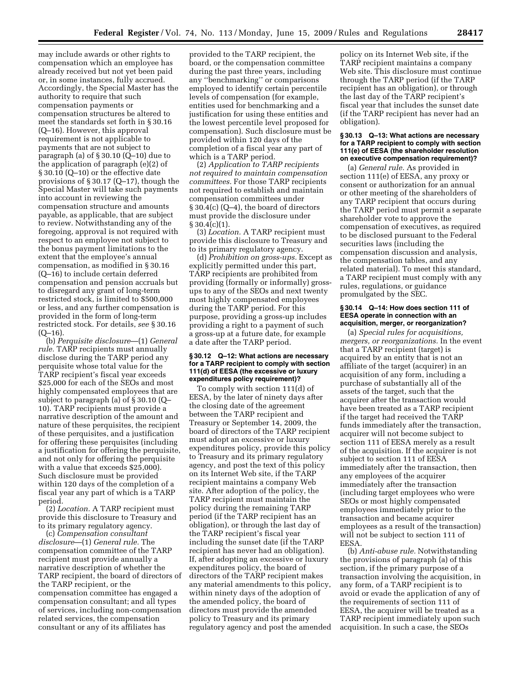may include awards or other rights to compensation which an employee has already received but not yet been paid or, in some instances, fully accrued. Accordingly, the Special Master has the authority to require that such compensation payments or compensation structures be altered to meet the standards set forth in § 30.16 (Q–16). However, this approval requirement is not applicable to payments that are not subject to paragraph (a) of § 30.10 (Q–10) due to the application of paragraph (e)(2) of § 30.10 (Q–10) or the effective date provisions of § 30.17 (Q–17), though the Special Master will take such payments into account in reviewing the compensation structure and amounts payable, as applicable, that are subject to review. Notwithstanding any of the foregoing, approval is not required with respect to an employee not subject to the bonus payment limitations to the extent that the employee's annual compensation, as modified in § 30.16 (Q–16) to include certain deferred compensation and pension accruals but to disregard any grant of long-term restricted stock, is limited to \$500,000 or less, and any further compensation is provided in the form of long-term restricted stock. For details, *see* § 30.16  $(Q-16)$ .

(b) *Perquisite disclosure*—(1) *General rule.* TARP recipients must annually disclose during the TARP period any perquisite whose total value for the TARP recipient's fiscal year exceeds \$25,000 for each of the SEOs and most highly compensated employees that are subject to paragraph (a) of § 30.10 (Q– 10). TARP recipients must provide a narrative description of the amount and nature of these perquisites, the recipient of these perquisites, and a justification for offering these perquisites (including a justification for offering the perquisite, and not only for offering the perquisite with a value that exceeds \$25,000). Such disclosure must be provided within 120 days of the completion of a fiscal year any part of which is a TARP period.

(2) *Location.* A TARP recipient must provide this disclosure to Treasury and to its primary regulatory agency.

(c) *Compensation consultant disclosure*—(1) *General rule.* The compensation committee of the TARP recipient must provide annually a narrative description of whether the TARP recipient, the board of directors of the TARP recipient, or the compensation committee has engaged a compensation consultant; and all types of services, including non-compensation related services, the compensation consultant or any of its affiliates has

provided to the TARP recipient, the board, or the compensation committee during the past three years, including any ''benchmarking'' or comparisons employed to identify certain percentile levels of compensation (for example, entities used for benchmarking and a justification for using these entities and the lowest percentile level proposed for compensation). Such disclosure must be provided within 120 days of the completion of a fiscal year any part of which is a TARP period.

(2) *Application to TARP recipients not required to maintain compensation committees.* For those TARP recipients not required to establish and maintain compensation committees under  $\S 30.4(c) (Q-4)$ , the board of directors must provide the disclosure under  $§ 30.4(c)(1).$ 

(3) *Location.* A TARP recipient must provide this disclosure to Treasury and to its primary regulatory agency.

(d) *Prohibition on gross-ups.* Except as explicitly permitted under this part, TARP recipients are prohibited from providing (formally or informally) grossups to any of the SEOs and next twenty most highly compensated employees during the TARP period. For this purpose, providing a gross-up includes providing a right to a payment of such a gross-up at a future date, for example a date after the TARP period.

#### **§ 30.12 Q–12: What actions are necessary for a TARP recipient to comply with section 111(d) of EESA (the excessive or luxury expenditures policy requirement)?**

To comply with section 111(d) of EESA, by the later of ninety days after the closing date of the agreement between the TARP recipient and Treasury or September 14, 2009, the board of directors of the TARP recipient must adopt an excessive or luxury expenditures policy, provide this policy to Treasury and its primary regulatory agency, and post the text of this policy on its Internet Web site, if the TARP recipient maintains a company Web site. After adoption of the policy, the TARP recipient must maintain the policy during the remaining TARP period (if the TARP recipient has an obligation), or through the last day of the TARP recipient's fiscal year including the sunset date (if the TARP recipient has never had an obligation). If, after adopting an excessive or luxury expenditures policy, the board of directors of the TARP recipient makes any material amendments to this policy, within ninety days of the adoption of the amended policy, the board of directors must provide the amended policy to Treasury and its primary regulatory agency and post the amended

policy on its Internet Web site, if the TARP recipient maintains a company Web site. This disclosure must continue through the TARP period (if the TARP recipient has an obligation), or through the last day of the TARP recipient's fiscal year that includes the sunset date (if the TARP recipient has never had an obligation).

#### **§ 30.13 Q–13: What actions are necessary for a TARP recipient to comply with section 111(e) of EESA (the shareholder resolution on executive compensation requirement)?**

(a) *General rule.* As provided in section 111(e) of EESA, any proxy or consent or authorization for an annual or other meeting of the shareholders of any TARP recipient that occurs during the TARP period must permit a separate shareholder vote to approve the compensation of executives, as required to be disclosed pursuant to the Federal securities laws (including the compensation discussion and analysis, the compensation tables, and any related material). To meet this standard, a TARP recipient must comply with any rules, regulations, or guidance promulgated by the SEC.

#### **§ 30.14 Q–14: How does section 111 of EESA operate in connection with an acquisition, merger, or reorganization?**

(a) *Special rules for acquisitions, mergers, or reorganizations.* In the event that a TARP recipient (target) is acquired by an entity that is not an affiliate of the target (acquirer) in an acquisition of any form, including a purchase of substantially all of the assets of the target, such that the acquirer after the transaction would have been treated as a TARP recipient if the target had received the TARP funds immediately after the transaction, acquirer will not become subject to section 111 of EESA merely as a result of the acquisition. If the acquirer is not subject to section 111 of EESA immediately after the transaction, then any employees of the acquirer immediately after the transaction (including target employees who were SEOs or most highly compensated employees immediately prior to the transaction and became acquirer employees as a result of the transaction) will not be subject to section 111 of EESA.

(b) *Anti-abuse rule.* Notwithstanding the provisions of paragraph (a) of this section, if the primary purpose of a transaction involving the acquisition, in any form, of a TARP recipient is to avoid or evade the application of any of the requirements of section 111 of EESA, the acquirer will be treated as a TARP recipient immediately upon such acquisition. In such a case, the SEOs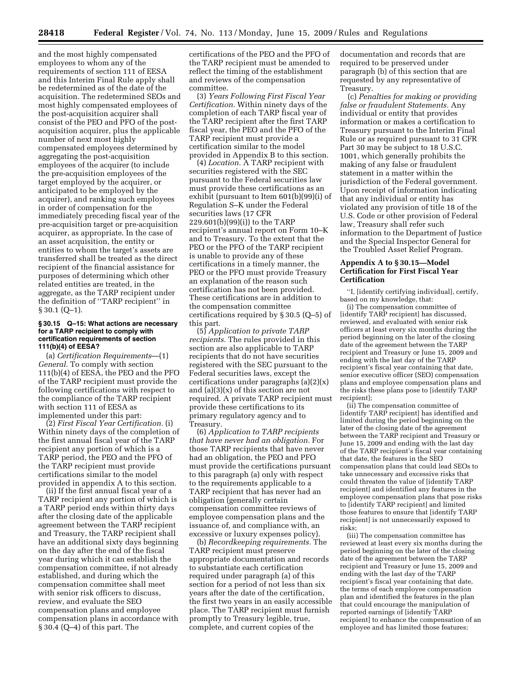and the most highly compensated employees to whom any of the requirements of section 111 of EESA and this Interim Final Rule apply shall be redetermined as of the date of the acquisition. The redetermined SEOs and most highly compensated employees of the post-acquisition acquirer shall consist of the PEO and PFO of the postacquisition acquirer, plus the applicable number of next most highly compensated employees determined by aggregating the post-acquisition employees of the acquirer (to include the pre-acquisition employees of the target employed by the acquirer, or anticipated to be employed by the acquirer), and ranking such employees in order of compensation for the immediately preceding fiscal year of the pre-acquisition target or pre-acquisition acquirer, as appropriate. In the case of an asset acquisition, the entity or entities to whom the target's assets are transferred shall be treated as the direct recipient of the financial assistance for purposes of determining which other related entities are treated, in the aggregate, as the TARP recipient under the definition of ''TARP recipient'' in  $§ 30.1 (Q-1).$ 

#### **§ 30.15 Q–15: What actions are necessary for a TARP recipient to comply with certification requirements of section 111(b)(4) of EESA?**

(a) *Certification Requirements*—(1) *General.* To comply with section 111(b)(4) of EESA, the PEO and the PFO of the TARP recipient must provide the following certifications with respect to the compliance of the TARP recipient with section 111 of EESA as implemented under this part:

(2) *First Fiscal Year Certification.* (i) Within ninety days of the completion of the first annual fiscal year of the TARP recipient any portion of which is a TARP period, the PEO and the PFO of the TARP recipient must provide certifications similar to the model provided in appendix A to this section.

(ii) If the first annual fiscal year of a TARP recipient any portion of which is a TARP period ends within thirty days after the closing date of the applicable agreement between the TARP recipient and Treasury, the TARP recipient shall have an additional sixty days beginning on the day after the end of the fiscal year during which it can establish the compensation committee, if not already established, and during which the compensation committee shall meet with senior risk officers to discuss, review, and evaluate the SEO compensation plans and employee compensation plans in accordance with § 30.4 (Q–4) of this part. The

certifications of the PEO and the PFO of the TARP recipient must be amended to reflect the timing of the establishment and reviews of the compensation committee.

(3) *Years Following First Fiscal Year Certification.* Within ninety days of the completion of each TARP fiscal year of the TARP recipient after the first TARP fiscal year, the PEO and the PFO of the TARP recipient must provide a certification similar to the model provided in Appendix B to this section.

(4) *Location.* A TARP recipient with securities registered with the SEC pursuant to the Federal securities law must provide these certifications as an exhibit (pursuant to Item 601(b)(99)(i) of Regulation S–K under the Federal securities laws (17 CFR 229.601(b)(99)(i)) to the TARP recipient's annual report on Form 10–K and to Treasury. To the extent that the PEO or the PFO of the TARP recipient is unable to provide any of these certifications in a timely manner, the PEO or the PFO must provide Treasury an explanation of the reason such certification has not been provided. These certifications are in addition to the compensation committee certifications required by § 30.5 (Q–5) of this part.

(5) *Application to private TARP recipients.* The rules provided in this section are also applicable to TARP recipients that do not have securities registered with the SEC pursuant to the Federal securities laws, except the certifications under paragraphs (a)(2)(x) and (a)(3)(x) of this section are not required. A private TARP recipient must provide these certifications to its primary regulatory agency and to Treasury.

(6) *Application to TARP recipients that have never had an obligation.* For those TARP recipients that have never had an obligation, the PEO and PFO must provide the certifications pursuant to this paragraph (a) only with respect to the requirements applicable to a TARP recipient that has never had an obligation (generally certain compensation committee reviews of employee compensation plans and the issuance of, and compliance with, an excessive or luxury expenses policy).

(b) *Recordkeeping requirements.* The TARP recipient must preserve appropriate documentation and records to substantiate each certification required under paragraph (a) of this section for a period of not less than six years after the date of the certification, the first two years in an easily accessible place. The TARP recipient must furnish promptly to Treasury legible, true, complete, and current copies of the

documentation and records that are required to be preserved under paragraph (b) of this section that are requested by any representative of Treasury.

(c) *Penalties for making or providing false or fraudulent Statements.* Any individual or entity that provides information or makes a certification to Treasury pursuant to the Interim Final Rule or as required pursuant to 31 CFR Part 30 may be subject to 18 U.S.C. 1001, which generally prohibits the making of any false or fraudulent statement in a matter within the jurisdiction of the Federal government. Upon receipt of information indicating that any individual or entity has violated any provision of title 18 of the U.S. Code or other provision of Federal law, Treasury shall refer such information to the Department of Justice and the Special Inspector General for the Troubled Asset Relief Program.

# **Appendix A to § 30.15—Model Certification for First Fiscal Year Certification**

''I, [identify certifying individual], certify, based on my knowledge, that:

(i) The compensation committee of [identify TARP recipient] has discussed, reviewed, and evaluated with senior risk officers at least every six months during the period beginning on the later of the closing date of the agreement between the TARP recipient and Treasury or June 15, 2009 and ending with the last day of the TARP recipient's fiscal year containing that date, senior executive officer (SEO) compensation plans and employee compensation plans and the risks these plans pose to [identify TARP recipient];

(ii) The compensation committee of [identify TARP recipient] has identified and limited during the period beginning on the later of the closing date of the agreement between the TARP recipient and Treasury or June 15, 2009 and ending with the last day of the TARP recipient's fiscal year containing that date, the features in the SEO compensation plans that could lead SEOs to take unnecessary and excessive risks that could threaten the value of [identify TARP recipient] and identified any features in the employee compensation plans that pose risks to [identify TARP recipient] and limited those features to ensure that [identify TARP recipient] is not unnecessarily exposed to risks;

(iii) The compensation committee has reviewed at least every six months during the period beginning on the later of the closing date of the agreement between the TARP recipient and Treasury or June 15, 2009 and ending with the last day of the TARP recipient's fiscal year containing that date, the terms of each employee compensation plan and identified the features in the plan that could encourage the manipulation of reported earnings of [identify TARP recipient] to enhance the compensation of an employee and has limited those features;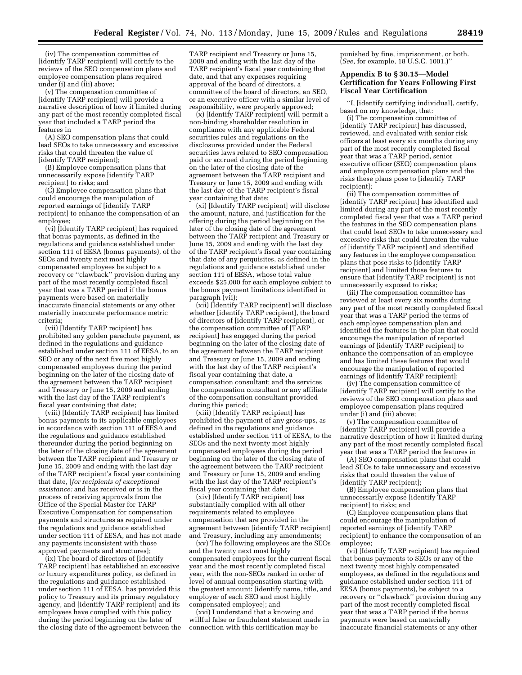(iv) The compensation committee of [identify TARP recipient] will certify to the reviews of the SEO compensation plans and employee compensation plans required under (i) and (iii) above;

(v) The compensation committee of [identify TARP recipient] will provide a narrative description of how it limited during any part of the most recently completed fiscal year that included a TARP period the features in

(A) SEO compensation plans that could lead SEOs to take unnecessary and excessive risks that could threaten the value of [identify TARP recipient];

(B) Employee compensation plans that unnecessarily expose [identify TARP recipient] to risks; and

(C) Employee compensation plans that could encourage the manipulation of reported earnings of [identify TARP recipient] to enhance the compensation of an employee;

(vi) [Identify TARP recipient] has required that bonus payments, as defined in the regulations and guidance established under section 111 of EESA (bonus payments), of the SEOs and twenty next most highly compensated employees be subject to a recovery or ''clawback'' provision during any part of the most recently completed fiscal year that was a TARP period if the bonus payments were based on materially inaccurate financial statements or any other materially inaccurate performance metric criteria;

(vii) [Identify TARP recipient] has prohibited any golden parachute payment, as defined in the regulations and guidance established under section 111 of EESA, to an SEO or any of the next five most highly compensated employees during the period beginning on the later of the closing date of the agreement between the TARP recipient and Treasury or June 15, 2009 and ending with the last day of the TARP recipient's fiscal year containing that date;

(viii) [Identify TARP recipient] has limited bonus payments to its applicable employees in accordance with section 111 of EESA and the regulations and guidance established thereunder during the period beginning on the later of the closing date of the agreement between the TARP recipient and Treasury or June 15, 2009 and ending with the last day of the TARP recipient's fiscal year containing that date, [*for recipients of exceptional assistance:* and has received or is in the process of receiving approvals from the Office of the Special Master for TARP Executive Compensation for compensation payments and structures as required under the regulations and guidance established under section 111 of EESA, and has not made any payments inconsistent with those approved payments and structures];

(ix) The board of directors of [identify TARP recipient] has established an excessive or luxury expenditures policy, as defined in the regulations and guidance established under section 111 of EESA, has provided this policy to Treasury and its primary regulatory agency, and [identify TARP recipient] and its employees have complied with this policy during the period beginning on the later of the closing date of the agreement between the

TARP recipient and Treasury or June 15, 2009 and ending with the last day of the TARP recipient's fiscal year containing that date, and that any expenses requiring approval of the board of directors, a committee of the board of directors, an SEO, or an executive officer with a similar level of responsibility, were properly approved;

 $(\mathbf{x})$  [Identify TARP recipient] will permit a non-binding shareholder resolution in compliance with any applicable Federal securities rules and regulations on the disclosures provided under the Federal securities laws related to SEO compensation paid or accrued during the period beginning on the later of the closing date of the agreement between the TARP recipient and Treasury or June 15, 2009 and ending with the last day of the TARP recipient's fiscal year containing that date;

(xi) [Identify TARP recipient] will disclose the amount, nature, and justification for the offering during the period beginning on the later of the closing date of the agreement between the TARP recipient and Treasury or June 15, 2009 and ending with the last day of the TARP recipient's fiscal year containing that date of any perquisites, as defined in the regulations and guidance established under section 111 of EESA, whose total value exceeds \$25,000 for each employee subject to the bonus payment limitations identified in paragraph (vii);

(xii) [Identify TARP recipient] will disclose whether [identify TARP recipient], the board of directors of [identify TARP recipient], or the compensation committee of [TARP recipient] has engaged during the period beginning on the later of the closing date of the agreement between the TARP recipient and Treasury or June 15, 2009 and ending with the last day of the TARP recipient's fiscal year containing that date, a compensation consultant; and the services the compensation consultant or any affiliate of the compensation consultant provided during this period;

(xiii) [Identify TARP recipient] has prohibited the payment of any gross-ups, as defined in the regulations and guidance established under section 111 of EESA, to the SEOs and the next twenty most highly compensated employees during the period beginning on the later of the closing date of the agreement between the TARP recipient and Treasury or June 15, 2009 and ending with the last day of the TARP recipient's fiscal year containing that date;

(xiv) [Identify TARP recipient] has substantially complied with all other requirements related to employee compensation that are provided in the agreement between [identify TARP recipient] and Treasury, including any amendments;

(xv) The following employees are the SEOs and the twenty next most highly compensated employees for the current fiscal year and the most recently completed fiscal year, with the non-SEOs ranked in order of level of annual compensation starting with the greatest amount: [identify name, title, and employer of each SEO and most highly compensated employee]; and

(xvi) I understand that a knowing and willful false or fraudulent statement made in connection with this certification may be

punished by fine, imprisonment, or both. (*See,* for example, 18 U.S.C. 1001.)''

# **Appendix B to § 30.15—Model Certification for Years Following First Fiscal Year Certification**

''I, [identify certifying individual], certify, based on my knowledge, that:

(i) The compensation committee of [identify TARP recipient] has discussed, reviewed, and evaluated with senior risk officers at least every six months during any part of the most recently completed fiscal year that was a TARP period, senior executive officer (SEO) compensation plans and employee compensation plans and the risks these plans pose to [identify TARP recipient];

(ii) The compensation committee of [identify TARP recipient] has identified and limited during any part of the most recently completed fiscal year that was a TARP period the features in the SEO compensation plans that could lead SEOs to take unnecessary and excessive risks that could threaten the value of [identify TARP recipient] and identified any features in the employee compensation plans that pose risks to [identify TARP recipient] and limited those features to ensure that [identify TARP recipient] is not unnecessarily exposed to risks;

(iii) The compensation committee has reviewed at least every six months during any part of the most recently completed fiscal year that was a TARP period the terms of each employee compensation plan and identified the features in the plan that could encourage the manipulation of reported earnings of [identify TARP recipient] to enhance the compensation of an employee and has limited these features that would encourage the manipulation of reported earnings of [identify TARP recipient];

(iv) The compensation committee of [identify TARP recipient] will certify to the reviews of the SEO compensation plans and employee compensation plans required under (i) and (iii) above;

(v) The compensation committee of [identify TARP recipient] will provide a narrative description of how it limited during any part of the most recently completed fiscal year that was a TARP period the features in

(A) SEO compensation plans that could lead SEOs to take unnecessary and excessive risks that could threaten the value of [identify TARP recipient];

(B) Employee compensation plans that unnecessarily expose [identify TARP recipient] to risks; and

(C) Employee compensation plans that could encourage the manipulation of reported earnings of [identify TARP recipient] to enhance the compensation of an employee;

(vi) [Identify TARP recipient] has required that bonus payments to SEOs or any of the next twenty most highly compensated employees, as defined in the regulations and guidance established under section 111 of EESA (bonus payments), be subject to a recovery or ''clawback'' provision during any part of the most recently completed fiscal year that was a TARP period if the bonus payments were based on materially inaccurate financial statements or any other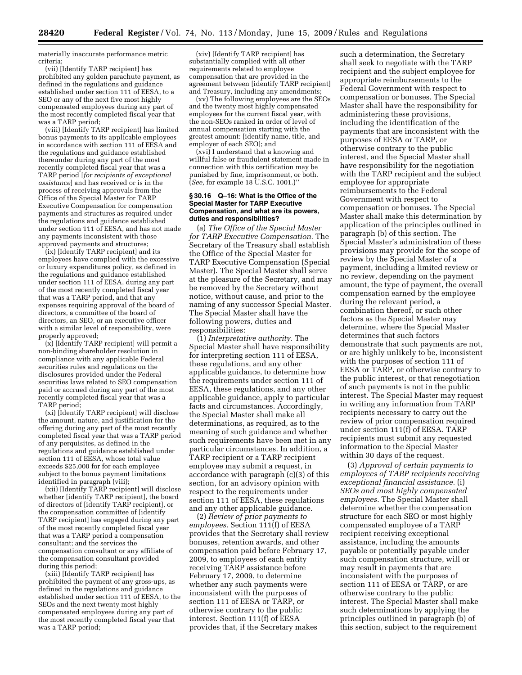materially inaccurate performance metric criteria;

(vii) [Identify TARP recipient] has prohibited any golden parachute payment, as defined in the regulations and guidance established under section 111 of EESA, to a SEO or any of the next five most highly compensated employees during any part of the most recently completed fiscal year that was a TARP period;

(viii) [Identify TARP recipient] has limited bonus payments to its applicable employees in accordance with section 111 of EESA and the regulations and guidance established thereunder during any part of the most recently completed fiscal year that was a TARP period [*for recipients of exceptional assistance*] and has received or is in the process of receiving approvals from the Office of the Special Master for TARP Executive Compensation for compensation payments and structures as required under the regulations and guidance established under section 111 of EESA, and has not made any payments inconsistent with those approved payments and structures;

(ix) [Identify TARP recipient] and its employees have complied with the excessive or luxury expenditures policy, as defined in the regulations and guidance established under section 111 of EESA, during any part of the most recently completed fiscal year that was a TARP period, and that any expenses requiring approval of the board of directors, a committee of the board of directors, an SEO, or an executive officer with a similar level of responsibility, were properly approved;

(x) [Identify TARP recipient] will permit a non-binding shareholder resolution in compliance with any applicable Federal securities rules and regulations on the disclosures provided under the Federal securities laws related to SEO compensation paid or accrued during any part of the most recently completed fiscal year that was a TARP period;

(xi) [Identify TARP recipient] will disclose the amount, nature, and justification for the offering during any part of the most recently completed fiscal year that was a TARP period of any perquisites, as defined in the regulations and guidance established under section 111 of EESA, whose total value exceeds \$25,000 for for each employee subject to the bonus payment limitations identified in paragraph (viii);

(xii) [Identify TARP recipient] will disclose whether [identify TARP recipient], the board of directors of [identify TARP recipient], or the compensation committee of [identify TARP recipient] has engaged during any part of the most recently completed fiscal year that was a TARP period a compensation consultant; and the services the compensation consultant or any affiliate of the compensation consultant provided during this period;

(xiii) [Identify TARP recipient] has prohibited the payment of any gross-ups, as defined in the regulations and guidance established under section 111 of EESA, to the SEOs and the next twenty most highly compensated employees during any part of the most recently completed fiscal year that was a TARP period;

(xiv) [Identify TARP recipient] has substantially complied with all other requirements related to employee compensation that are provided in the agreement between [identify TARP recipient] and Treasury, including any amendments;

(xv) The following employees are the SEOs and the twenty most highly compensated employees for the current fiscal year, with the non-SEOs ranked in order of level of annual compensation starting with the greatest amount: [identify name, title, and employer of each SEO]; and

(xvi) I understand that a knowing and willful false or fraudulent statement made in connection with this certification may be punished by fine, imprisonment, or both. (*See,* for example 18 U.S.C. 1001.)''

#### **§ 30.16 Q–16: What is the Office of the Special Master for TARP Executive Compensation, and what are its powers, duties and responsibilities?**

(a) *The Office of the Special Master for TARP Executive Compensation.* The Secretary of the Treasury shall establish the Office of the Special Master for TARP Executive Compensation (Special Master). The Special Master shall serve at the pleasure of the Secretary, and may be removed by the Secretary without notice, without cause, and prior to the naming of any successor Special Master. The Special Master shall have the following powers, duties and responsibilities:

(1) *Interpretative authority.* The Special Master shall have responsibility for interpreting section 111 of EESA, these regulations, and any other applicable guidance, to determine how the requirements under section 111 of EESA, these regulations, and any other applicable guidance, apply to particular facts and circumstances. Accordingly, the Special Master shall make all determinations, as required, as to the meaning of such guidance and whether such requirements have been met in any particular circumstances. In addition, a TARP recipient or a TARP recipient employee may submit a request, in accordance with paragraph (c)(3) of this section, for an advisory opinion with respect to the requirements under section 111 of EESA, these regulations and any other applicable guidance.

(2) *Review of prior payments to employees.* Section 111(f) of EESA provides that the Secretary shall review bonuses, retention awards, and other compensation paid before February 17, 2009, to employees of each entity receiving TARP assistance before February 17, 2009, to determine whether any such payments were inconsistent with the purposes of section 111 of EESA or TARP, or otherwise contrary to the public interest. Section 111(f) of EESA provides that, if the Secretary makes

such a determination, the Secretary shall seek to negotiate with the TARP recipient and the subject employee for appropriate reimbursements to the Federal Government with respect to compensation or bonuses. The Special Master shall have the responsibility for administering these provisions, including the identification of the payments that are inconsistent with the purposes of EESA or TARP, or otherwise contrary to the public interest, and the Special Master shall have responsibility for the negotiation with the TARP recipient and the subject employee for appropriate reimbursements to the Federal Government with respect to compensation or bonuses. The Special Master shall make this determination by application of the principles outlined in paragraph (b) of this section. The Special Master's administration of these provisions may provide for the scope of review by the Special Master of a payment, including a limited review or no review, depending on the payment amount, the type of payment, the overall compensation earned by the employee during the relevant period, a combination thereof, or such other factors as the Special Master may determine, where the Special Master determines that such factors demonstrate that such payments are not, or are highly unlikely to be, inconsistent with the purposes of section 111 of EESA or TARP, or otherwise contrary to the public interest, or that renegotiation of such payments is not in the public interest. The Special Master may request in writing any information from TARP recipients necessary to carry out the review of prior compensation required under section 111(f) of EESA. TARP recipients must submit any requested information to the Special Master within 30 days of the request.

(3) *Approval of certain payments to employees of TARP recipients receiving exceptional financial assistance.* (i) *SEOs and most highly compensated employees.* The Special Master shall determine whether the compensation structure for each SEO or most highly compensated employee of a TARP recipient receiving exceptional assistance, including the amounts payable or potentially payable under such compensation structure, will or may result in payments that are inconsistent with the purposes of section 111 of EESA or TARP, or are otherwise contrary to the public interest. The Special Master shall make such determinations by applying the principles outlined in paragraph (b) of this section, subject to the requirement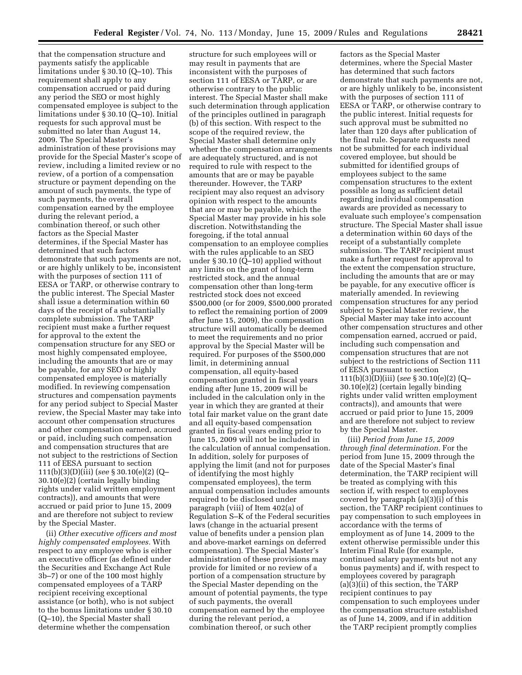that the compensation structure and payments satisfy the applicable limitations under § 30.10 (Q–10). This requirement shall apply to any compensation accrued or paid during any period the SEO or most highly compensated employee is subject to the limitations under § 30.10 (Q–10). Initial requests for such approval must be submitted no later than August 14, 2009. The Special Master's administration of these provisions may provide for the Special Master's scope of review, including a limited review or no review, of a portion of a compensation structure or payment depending on the amount of such payments, the type of such payments, the overall compensation earned by the employee during the relevant period, a combination thereof, or such other factors as the Special Master determines, if the Special Master has determined that such factors demonstrate that such payments are not, or are highly unlikely to be, inconsistent with the purposes of section 111 of EESA or TARP, or otherwise contrary to the public interest. The Special Master shall issue a determination within 60 days of the receipt of a substantially complete submission. The TARP recipient must make a further request for approval to the extent the compensation structure for any SEO or most highly compensated employee, including the amounts that are or may be payable, for any SEO or highly compensated employee is materially modified. In reviewing compensation structures and compensation payments for any period subject to Special Master review, the Special Master may take into account other compensation structures and other compensation earned, accrued or paid, including such compensation and compensation structures that are not subject to the restrictions of Section 111 of EESA pursuant to section 111(b)(3)(D)(iii) (*see* § 30.10(e)(2) (Q– 30.10(e)(2) (certain legally binding rights under valid written employment contracts)), and amounts that were accrued or paid prior to June 15, 2009 and are therefore not subject to review by the Special Master.

(ii) *Other executive officers and most highly compensated employees.* With respect to any employee who is either an executive officer (as defined under the Securities and Exchange Act Rule 3b–7) or one of the 100 most highly compensated employees of a TARP recipient receiving exceptional assistance (or both), who is not subject to the bonus limitations under § 30.10 (Q–10), the Special Master shall determine whether the compensation

structure for such employees will or may result in payments that are inconsistent with the purposes of section 111 of EESA or TARP, or are otherwise contrary to the public interest. The Special Master shall make such determination through application of the principles outlined in paragraph (b) of this section. With respect to the scope of the required review, the Special Master shall determine only whether the compensation arrangements are adequately structured, and is not required to rule with respect to the amounts that are or may be payable thereunder. However, the TARP recipient may also request an advisory opinion with respect to the amounts that are or may be payable, which the Special Master may provide in his sole discretion. Notwithstanding the foregoing, if the total annual compensation to an employee complies with the rules applicable to an SEO under § 30.10 (Q–10) applied without any limits on the grant of long-term restricted stock, and the annual compensation other than long-term restricted stock does not exceed \$500,000 (or for 2009, \$500,000 prorated to reflect the remaining portion of 2009 after June 15, 2009), the compensation structure will automatically be deemed to meet the requirements and no prior approval by the Special Master will be required. For purposes of the \$500,000 limit, in determining annual compensation, all equity-based compensation granted in fiscal years ending after June 15, 2009 will be included in the calculation only in the year in which they are granted at their total fair market value on the grant date and all equity-based compensation granted in fiscal years ending prior to June 15, 2009 will not be included in the calculation of annual compensation. In addition, solely for purposes of applying the limit (and not for purposes of identifying the most highly compensated employees), the term annual compensation includes amounts required to be disclosed under paragraph (viii) of Item 402(a) of Regulation S–K of the Federal securities laws (change in the actuarial present value of benefits under a pension plan and above-market earnings on deferred compensation). The Special Master's administration of these provisions may provide for limited or no review of a portion of a compensation structure by the Special Master depending on the amount of potential payments, the type of such payments, the overall compensation earned by the employee during the relevant period, a combination thereof, or such other

factors as the Special Master determines, where the Special Master has determined that such factors demonstrate that such payments are not, or are highly unlikely to be, inconsistent with the purposes of section 111 of EESA or TARP, or otherwise contrary to the public interest. Initial requests for such approval must be submitted no later than 120 days after publication of the final rule. Separate requests need not be submitted for each individual covered employee, but should be submitted for identified groups of employees subject to the same compensation structures to the extent possible as long as sufficient detail regarding individual compensation awards are provided as necessary to evaluate such employee's compensation structure. The Special Master shall issue a determination within 60 days of the receipt of a substantially complete submission. The TARP recipient must make a further request for approval to the extent the compensation structure, including the amounts that are or may be payable, for any executive officer is materially amended. In reviewing compensation structures for any period subject to Special Master review, the Special Master may take into account other compensation structures and other compensation earned, accrued or paid, including such compensation and compensation structures that are not subject to the restrictions of Section 111 of EESA pursuant to section 111(b)(3)(D)(iii) (*see* § 30.10(e)(2) (Q– 30.10(e)(2) (certain legally binding rights under valid written employment contracts)), and amounts that were accrued or paid prior to June 15, 2009 and are therefore not subject to review by the Special Master.

(iii) *Period from June 15, 2009 through final determination.* For the period from June 15, 2009 through the date of the Special Master's final determination, the TARP recipient will be treated as complying with this section if, with respect to employees covered by paragraph (a)(3)(i) of this section, the TARP recipient continues to pay compensation to such employees in accordance with the terms of employment as of June 14, 2009 to the extent otherwise permissible under this Interim Final Rule (for example, continued salary payments but not any bonus payments) and if, with respect to employees covered by paragraph (a)(3)(ii) of this section, the TARP recipient continues to pay compensation to such employees under the compensation structure established as of June 14, 2009, and if in addition the TARP recipient promptly complies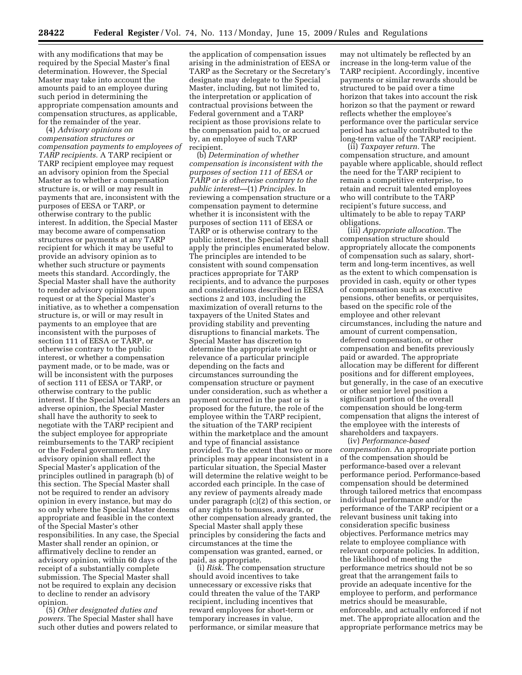with any modifications that may be required by the Special Master's final determination. However, the Special Master may take into account the amounts paid to an employee during such period in determining the appropriate compensation amounts and compensation structures, as applicable, for the remainder of the year.

(4) *Advisory opinions on compensation structures or compensation payments to employees of TARP recipients.* A TARP recipient or TARP recipient employee may request an advisory opinion from the Special Master as to whether a compensation structure is, or will or may result in payments that are, inconsistent with the purposes of EESA or TARP, or otherwise contrary to the public interest. In addition, the Special Master may become aware of compensation structures or payments at any TARP recipient for which it may be useful to provide an advisory opinion as to whether such structure or payments meets this standard. Accordingly, the Special Master shall have the authority to render advisory opinions upon request or at the Special Master's initiative, as to whether a compensation structure is, or will or may result in payments to an employee that are inconsistent with the purposes of section 111 of EESA or TARP, or otherwise contrary to the public interest, or whether a compensation payment made, or to be made, was or will be inconsistent with the purposes of section 111 of EESA or TARP, or otherwise contrary to the public interest. If the Special Master renders an adverse opinion, the Special Master shall have the authority to seek to negotiate with the TARP recipient and the subject employee for appropriate reimbursements to the TARP recipient or the Federal government. Any advisory opinion shall reflect the Special Master's application of the principles outlined in paragraph (b) of this section. The Special Master shall not be required to render an advisory opinion in every instance, but may do so only where the Special Master deems appropriate and feasible in the context of the Special Master's other responsibilities. In any case, the Special Master shall render an opinion, or affirmatively decline to render an advisory opinion, within 60 days of the receipt of a substantially complete submission. The Special Master shall not be required to explain any decision to decline to render an advisory opinion.

(5) *Other designated duties and powers.* The Special Master shall have such other duties and powers related to

the application of compensation issues arising in the administration of EESA or TARP as the Secretary or the Secretary's designate may delegate to the Special Master, including, but not limited to, the interpretation or application of contractual provisions between the Federal government and a TARP recipient as those provisions relate to the compensation paid to, or accrued by, an employee of such TARP recipient.

(b) *Determination of whether compensation is inconsistent with the purposes of section 111 of EESA or TARP or is otherwise contrary to the public interest*—(1) *Principles.* In reviewing a compensation structure or a compensation payment to determine whether it is inconsistent with the purposes of section 111 of EESA or TARP or is otherwise contrary to the public interest, the Special Master shall apply the principles enumerated below. The principles are intended to be consistent with sound compensation practices appropriate for TARP recipients, and to advance the purposes and considerations described in EESA sections 2 and 103, including the maximization of overall returns to the taxpayers of the United States and providing stability and preventing disruptions to financial markets. The Special Master has discretion to determine the appropriate weight or relevance of a particular principle depending on the facts and circumstances surrounding the compensation structure or payment under consideration, such as whether a payment occurred in the past or is proposed for the future, the role of the employee within the TARP recipient, the situation of the TARP recipient within the marketplace and the amount and type of financial assistance provided. To the extent that two or more principles may appear inconsistent in a particular situation, the Special Master will determine the relative weight to be accorded each principle. In the case of any review of payments already made under paragraph (c)(2) of this section, or of any rights to bonuses, awards, or other compensation already granted, the Special Master shall apply these principles by considering the facts and circumstances at the time the compensation was granted, earned, or paid, as appropriate.

(i) *Risk.* The compensation structure should avoid incentives to take unnecessary or excessive risks that could threaten the value of the TARP recipient, including incentives that reward employees for short-term or temporary increases in value, performance, or similar measure that

may not ultimately be reflected by an increase in the long-term value of the TARP recipient. Accordingly, incentive payments or similar rewards should be structured to be paid over a time horizon that takes into account the risk horizon so that the payment or reward reflects whether the employee's performance over the particular service period has actually contributed to the long-term value of the TARP recipient.

(ii) *Taxpayer return.* The compensation structure, and amount payable where applicable, should reflect the need for the TARP recipient to remain a competitive enterprise, to retain and recruit talented employees who will contribute to the TARP recipient's future success, and ultimately to be able to repay TARP obligations.

(iii) *Appropriate allocation.* The compensation structure should appropriately allocate the components of compensation such as salary, shortterm and long-term incentives, as well as the extent to which compensation is provided in cash, equity or other types of compensation such as executive pensions, other benefits, or perquisites, based on the specific role of the employee and other relevant circumstances, including the nature and amount of current compensation, deferred compensation, or other compensation and benefits previously paid or awarded. The appropriate allocation may be different for different positions and for different employees, but generally, in the case of an executive or other senior level position a significant portion of the overall compensation should be long-term compensation that aligns the interest of the employee with the interests of shareholders and taxpayers.

(iv) *Performance-based compensation.* An appropriate portion of the compensation should be performance-based over a relevant performance period. Performance-based compensation should be determined through tailored metrics that encompass individual performance and/or the performance of the TARP recipient or a relevant business unit taking into consideration specific business objectives. Performance metrics may relate to employee compliance with relevant corporate policies. In addition, the likelihood of meeting the performance metrics should not be so great that the arrangement fails to provide an adequate incentive for the employee to perform, and performance metrics should be measurable, enforceable, and actually enforced if not met. The appropriate allocation and the appropriate performance metrics may be